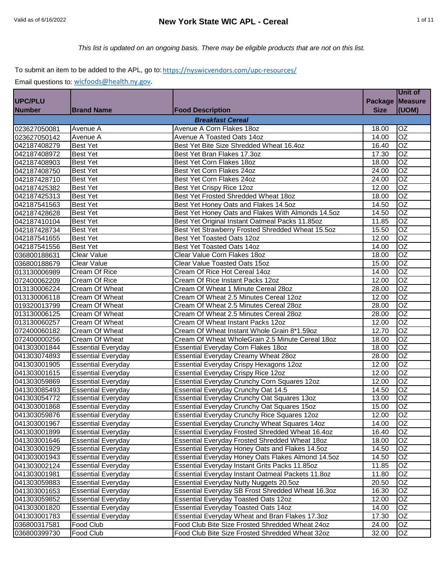# Valid as of 6/16/2022 **New York State WIC APL - Cereal** 1 of 11

*This list is updated on an ongoing basis. There may be eligible products that are not on this list.*

## To submit an item to be added to the APL, go to: https://nyswicvendors.com/upc-resources/

| Package Measure<br>(UOM)<br><b>Size</b><br><b>Number</b><br><b>Brand Name</b><br><b>Food Description</b><br><b>Breakfast Cereal</b><br>Avenue A Corn Flakes 18oz<br>OZ<br>023627050081<br>Avenue A<br>18.00<br><b>OZ</b><br>Avenue A<br>Avenue A Toasted Oats 14oz<br>14.00<br>Best Yet Bite Size Shredded Wheat 16.4oz<br><b>OZ</b><br><b>Best Yet</b><br>16.40<br>042187408279<br>OZ<br><b>Best Yet</b><br>Best Yet Bran Flakes 17.3oz<br>17.30<br>042187408972<br>OZ<br>Best Yet Corn Flakes 18oz<br><b>Best Yet</b><br>18.00<br>042187408903<br>$\overline{OZ}$<br><b>Best Yet</b><br>Best Yet Corn Flakes 24oz<br>24.00<br>042187408750<br><b>Best Yet</b><br>Best Yet Corn Flakes 24oz<br>OZ<br>042187428710<br>24.00<br>$\overline{OZ}$<br>Best Yet Crispy Rice 12oz<br><b>Best Yet</b><br>12.00<br>042187425382<br>$\overline{OZ}$<br>Best Yet Frosted Shredded Wheat 18oz<br><b>Best Yet</b><br>18.00<br>$\overline{OZ}$<br><b>Best Yet</b><br>Best Yet Honey Oats and Flakes 14.5oz<br>14.50<br>OZ<br>Best Yet Honey Oats and Flakes With Almonds 14.5oz<br><b>Best Yet</b><br>14.50<br>$\overline{OZ}$<br>Best Yet Original Instant Oatmeal Packs 11.85oz<br><b>Best Yet</b><br>11.85<br>OZ<br>Best Yet Strawberry Frosted Shredded Wheat 15.5oz<br><b>Best Yet</b><br>15.50<br>OZ<br><b>Best Yet</b><br>Best Yet Toasted Oats 12oz<br>12.00<br>OZ<br>Best Yet Toasted Oats 14oz<br>14.00<br><b>Best Yet</b><br>$\overline{OZ}$<br><b>Clear Value</b><br>Clear Value Corn Flakes 18oz<br>18.00<br>OZ<br><b>Clear Value</b><br>Clear Value Toasted Oats 15oz<br>15.00<br>OZ<br>Cream Of Rice Hot Cereal 14oz<br><b>Cream Of Rice</b><br>14.00<br>$\overline{OZ}$<br><b>Cream Of Rice</b><br>Cream Of Rice Instant Packs 12oz<br>12.00<br>OZ<br>Cream Of Wheat<br>Cream Of Wheat 1 Minute Cereal 28oz<br>28.00<br>OZ<br>Cream Of Wheat<br>Cream Of Wheat 2.5 Minutes Cereal 12oz<br>12.00<br>$\overline{OZ}$<br>Cream Of Wheat 2.5 Minutes Cereal 28oz<br>28.00<br>Cream Of Wheat<br>$\overline{OZ}$<br>Cream Of Wheat<br>Cream Of Wheat 2.5 Minutes Cereal 28oz<br>28.00<br>$\overline{OZ}$<br>Cream Of Wheat<br>Cream Of Wheat Instant Packs 12oz<br>12.00<br>$\overline{OZ}$<br>Cream Of Wheat<br>Cream Of Wheat Instant Whole Grain 8*1.59oz<br>12.70<br>$\overline{OZ}$<br>Cream Of Wheat<br>Cream Of Wheat WholeGrain 2.5 Minute Cereal 18oz<br>18.00<br>OZ<br><b>Essential Everyday</b><br><b>Essential Everyday Corn Flakes 18oz</b><br>18.00<br>$\overline{OZ}$<br><b>Essential Everyday</b><br>Essential Everyday Creamy Wheat 28oz<br>28.00<br>OZ<br><b>Essential Everyday</b><br>Essential Everyday Crispy Hexagons 12oz<br>12.00<br>OZ<br><b>Essential Everyday</b><br><b>Essential Everyday Crispy Rice 12oz</b><br>12.00<br>$\overline{OZ}$<br><b>Essential Everyday</b><br>Essential Everyday Crunchy Corn Squares 12oz<br>12.00<br><b>Essential Everyday</b><br>Essential Everyday Crunchy Oat 14.5<br>OZ<br>14.50<br>$\overline{OZ}$<br><b>Essential Everyday</b><br>Essential Everyday Crunchy Oat Squares 13oz<br>13.00<br>OZ<br><b>Essential Everyday</b><br>Essential Everyday Crunchy Oat Squares 15oz<br>15.00<br>OZ<br>Essential Everyday Crunchy Rice Squares 12oz<br>12.00<br><b>Essential Everyday</b><br><b>Essential Everyday</b><br>Essential Everyday Crunchy Wheat Squares 14oz<br>OZ<br>14.00<br>$\overline{OZ}$<br><b>Essential Everyday</b><br>Essential Everyday Frosted Shredded Wheat 16.4oz<br>16.40<br>$\overline{OZ}$<br><b>Essential Everyday</b><br>Essential Everyday Frosted Shredded Wheat 18oz<br>18.00<br>Essential Everyday Honey Oats and Flakes 14.5oz<br>OZ<br><b>Essential Everyday</b><br>14.50<br>OZ<br><b>Essential Everyday</b><br>Essential Everyday Honey Oats Flakes Almond 14.5oz<br>14.50<br>OZ<br><b>Essential Everyday</b><br>Essential Everyday Instant Grits Packs 11.85oz<br>11.85<br><b>Essential Everyday</b><br>Essential Everyday Instant Oatmeal Packets 11.8oz<br>11.80<br>OZ<br><b>Essential Everyday</b><br>Essential Everyday Nutty Nuggets 20.5oz<br>OZ<br>20.50<br>OZ<br><b>Essential Everyday</b><br>Essential Everyday SB Frost Shredded Wheat 16.3oz<br>16.30<br><b>Essential Everyday</b><br><b>Essential Everyday Toasted Oats 12oz</b><br>12.00<br>OZ<br><b>Essential Everyday</b><br><b>Essential Everyday Toasted Oats 14oz</b><br>14.00<br>OZ<br>Essential Everyday Wheat and Bran Flakes 17.3oz<br>17.30<br>OZ<br><b>Essential Everyday</b><br>Food Club<br>Food Club Bite Size Frosted Shredded Wheat 24oz<br>OZ<br>24.00<br>Food Club<br>Food Club Bite Size Frosted Shredded Wheat 32oz<br>OZ<br>32.00 |                |  | Unit of |
|-------------------------------------------------------------------------------------------------------------------------------------------------------------------------------------------------------------------------------------------------------------------------------------------------------------------------------------------------------------------------------------------------------------------------------------------------------------------------------------------------------------------------------------------------------------------------------------------------------------------------------------------------------------------------------------------------------------------------------------------------------------------------------------------------------------------------------------------------------------------------------------------------------------------------------------------------------------------------------------------------------------------------------------------------------------------------------------------------------------------------------------------------------------------------------------------------------------------------------------------------------------------------------------------------------------------------------------------------------------------------------------------------------------------------------------------------------------------------------------------------------------------------------------------------------------------------------------------------------------------------------------------------------------------------------------------------------------------------------------------------------------------------------------------------------------------------------------------------------------------------------------------------------------------------------------------------------------------------------------------------------------------------------------------------------------------------------------------------------------------------------------------------------------------------------------------------------------------------------------------------------------------------------------------------------------------------------------------------------------------------------------------------------------------------------------------------------------------------------------------------------------------------------------------------------------------------------------------------------------------------------------------------------------------------------------------------------------------------------------------------------------------------------------------------------------------------------------------------------------------------------------------------------------------------------------------------------------------------------------------------------------------------------------------------------------------------------------------------------------------------------------------------------------------------------------------------------------------------------------------------------------------------------------------------------------------------------------------------------------------------------------------------------------------------------------------------------------------------------------------------------------------------------------------------------------------------------------------------------------------------------------------------------------------------------------------------------------------------------------------------------------------------------------------------------------------------------------------------------------------------------------------------------------------------------------------------------------------------------------------------------------------------------------------------------------------------------------------------------------------------------------------------------------------------------------------------------------------------------------------------------------------------------------------------------------------------------------------------------------------------------------------------------------------------------------------------------------------------------------------------------------------------------------------------------------------------------------------------------------|----------------|--|---------|
|                                                                                                                                                                                                                                                                                                                                                                                                                                                                                                                                                                                                                                                                                                                                                                                                                                                                                                                                                                                                                                                                                                                                                                                                                                                                                                                                                                                                                                                                                                                                                                                                                                                                                                                                                                                                                                                                                                                                                                                                                                                                                                                                                                                                                                                                                                                                                                                                                                                                                                                                                                                                                                                                                                                                                                                                                                                                                                                                                                                                                                                                                                                                                                                                                                                                                                                                                                                                                                                                                                                                                                                                                                                                                                                                                                                                                                                                                                                                                                                                                                                                                                                                                                                                                                                                                                                                                                                                                                                                                                                                                                                                             | <b>UPC/PLU</b> |  |         |
|                                                                                                                                                                                                                                                                                                                                                                                                                                                                                                                                                                                                                                                                                                                                                                                                                                                                                                                                                                                                                                                                                                                                                                                                                                                                                                                                                                                                                                                                                                                                                                                                                                                                                                                                                                                                                                                                                                                                                                                                                                                                                                                                                                                                                                                                                                                                                                                                                                                                                                                                                                                                                                                                                                                                                                                                                                                                                                                                                                                                                                                                                                                                                                                                                                                                                                                                                                                                                                                                                                                                                                                                                                                                                                                                                                                                                                                                                                                                                                                                                                                                                                                                                                                                                                                                                                                                                                                                                                                                                                                                                                                                             |                |  |         |
|                                                                                                                                                                                                                                                                                                                                                                                                                                                                                                                                                                                                                                                                                                                                                                                                                                                                                                                                                                                                                                                                                                                                                                                                                                                                                                                                                                                                                                                                                                                                                                                                                                                                                                                                                                                                                                                                                                                                                                                                                                                                                                                                                                                                                                                                                                                                                                                                                                                                                                                                                                                                                                                                                                                                                                                                                                                                                                                                                                                                                                                                                                                                                                                                                                                                                                                                                                                                                                                                                                                                                                                                                                                                                                                                                                                                                                                                                                                                                                                                                                                                                                                                                                                                                                                                                                                                                                                                                                                                                                                                                                                                             |                |  |         |
|                                                                                                                                                                                                                                                                                                                                                                                                                                                                                                                                                                                                                                                                                                                                                                                                                                                                                                                                                                                                                                                                                                                                                                                                                                                                                                                                                                                                                                                                                                                                                                                                                                                                                                                                                                                                                                                                                                                                                                                                                                                                                                                                                                                                                                                                                                                                                                                                                                                                                                                                                                                                                                                                                                                                                                                                                                                                                                                                                                                                                                                                                                                                                                                                                                                                                                                                                                                                                                                                                                                                                                                                                                                                                                                                                                                                                                                                                                                                                                                                                                                                                                                                                                                                                                                                                                                                                                                                                                                                                                                                                                                                             |                |  |         |
|                                                                                                                                                                                                                                                                                                                                                                                                                                                                                                                                                                                                                                                                                                                                                                                                                                                                                                                                                                                                                                                                                                                                                                                                                                                                                                                                                                                                                                                                                                                                                                                                                                                                                                                                                                                                                                                                                                                                                                                                                                                                                                                                                                                                                                                                                                                                                                                                                                                                                                                                                                                                                                                                                                                                                                                                                                                                                                                                                                                                                                                                                                                                                                                                                                                                                                                                                                                                                                                                                                                                                                                                                                                                                                                                                                                                                                                                                                                                                                                                                                                                                                                                                                                                                                                                                                                                                                                                                                                                                                                                                                                                             | 023627050142   |  |         |
|                                                                                                                                                                                                                                                                                                                                                                                                                                                                                                                                                                                                                                                                                                                                                                                                                                                                                                                                                                                                                                                                                                                                                                                                                                                                                                                                                                                                                                                                                                                                                                                                                                                                                                                                                                                                                                                                                                                                                                                                                                                                                                                                                                                                                                                                                                                                                                                                                                                                                                                                                                                                                                                                                                                                                                                                                                                                                                                                                                                                                                                                                                                                                                                                                                                                                                                                                                                                                                                                                                                                                                                                                                                                                                                                                                                                                                                                                                                                                                                                                                                                                                                                                                                                                                                                                                                                                                                                                                                                                                                                                                                                             |                |  |         |
|                                                                                                                                                                                                                                                                                                                                                                                                                                                                                                                                                                                                                                                                                                                                                                                                                                                                                                                                                                                                                                                                                                                                                                                                                                                                                                                                                                                                                                                                                                                                                                                                                                                                                                                                                                                                                                                                                                                                                                                                                                                                                                                                                                                                                                                                                                                                                                                                                                                                                                                                                                                                                                                                                                                                                                                                                                                                                                                                                                                                                                                                                                                                                                                                                                                                                                                                                                                                                                                                                                                                                                                                                                                                                                                                                                                                                                                                                                                                                                                                                                                                                                                                                                                                                                                                                                                                                                                                                                                                                                                                                                                                             |                |  |         |
|                                                                                                                                                                                                                                                                                                                                                                                                                                                                                                                                                                                                                                                                                                                                                                                                                                                                                                                                                                                                                                                                                                                                                                                                                                                                                                                                                                                                                                                                                                                                                                                                                                                                                                                                                                                                                                                                                                                                                                                                                                                                                                                                                                                                                                                                                                                                                                                                                                                                                                                                                                                                                                                                                                                                                                                                                                                                                                                                                                                                                                                                                                                                                                                                                                                                                                                                                                                                                                                                                                                                                                                                                                                                                                                                                                                                                                                                                                                                                                                                                                                                                                                                                                                                                                                                                                                                                                                                                                                                                                                                                                                                             |                |  |         |
|                                                                                                                                                                                                                                                                                                                                                                                                                                                                                                                                                                                                                                                                                                                                                                                                                                                                                                                                                                                                                                                                                                                                                                                                                                                                                                                                                                                                                                                                                                                                                                                                                                                                                                                                                                                                                                                                                                                                                                                                                                                                                                                                                                                                                                                                                                                                                                                                                                                                                                                                                                                                                                                                                                                                                                                                                                                                                                                                                                                                                                                                                                                                                                                                                                                                                                                                                                                                                                                                                                                                                                                                                                                                                                                                                                                                                                                                                                                                                                                                                                                                                                                                                                                                                                                                                                                                                                                                                                                                                                                                                                                                             |                |  |         |
|                                                                                                                                                                                                                                                                                                                                                                                                                                                                                                                                                                                                                                                                                                                                                                                                                                                                                                                                                                                                                                                                                                                                                                                                                                                                                                                                                                                                                                                                                                                                                                                                                                                                                                                                                                                                                                                                                                                                                                                                                                                                                                                                                                                                                                                                                                                                                                                                                                                                                                                                                                                                                                                                                                                                                                                                                                                                                                                                                                                                                                                                                                                                                                                                                                                                                                                                                                                                                                                                                                                                                                                                                                                                                                                                                                                                                                                                                                                                                                                                                                                                                                                                                                                                                                                                                                                                                                                                                                                                                                                                                                                                             |                |  |         |
|                                                                                                                                                                                                                                                                                                                                                                                                                                                                                                                                                                                                                                                                                                                                                                                                                                                                                                                                                                                                                                                                                                                                                                                                                                                                                                                                                                                                                                                                                                                                                                                                                                                                                                                                                                                                                                                                                                                                                                                                                                                                                                                                                                                                                                                                                                                                                                                                                                                                                                                                                                                                                                                                                                                                                                                                                                                                                                                                                                                                                                                                                                                                                                                                                                                                                                                                                                                                                                                                                                                                                                                                                                                                                                                                                                                                                                                                                                                                                                                                                                                                                                                                                                                                                                                                                                                                                                                                                                                                                                                                                                                                             |                |  |         |
|                                                                                                                                                                                                                                                                                                                                                                                                                                                                                                                                                                                                                                                                                                                                                                                                                                                                                                                                                                                                                                                                                                                                                                                                                                                                                                                                                                                                                                                                                                                                                                                                                                                                                                                                                                                                                                                                                                                                                                                                                                                                                                                                                                                                                                                                                                                                                                                                                                                                                                                                                                                                                                                                                                                                                                                                                                                                                                                                                                                                                                                                                                                                                                                                                                                                                                                                                                                                                                                                                                                                                                                                                                                                                                                                                                                                                                                                                                                                                                                                                                                                                                                                                                                                                                                                                                                                                                                                                                                                                                                                                                                                             | 042187425313   |  |         |
|                                                                                                                                                                                                                                                                                                                                                                                                                                                                                                                                                                                                                                                                                                                                                                                                                                                                                                                                                                                                                                                                                                                                                                                                                                                                                                                                                                                                                                                                                                                                                                                                                                                                                                                                                                                                                                                                                                                                                                                                                                                                                                                                                                                                                                                                                                                                                                                                                                                                                                                                                                                                                                                                                                                                                                                                                                                                                                                                                                                                                                                                                                                                                                                                                                                                                                                                                                                                                                                                                                                                                                                                                                                                                                                                                                                                                                                                                                                                                                                                                                                                                                                                                                                                                                                                                                                                                                                                                                                                                                                                                                                                             | 042187541563   |  |         |
|                                                                                                                                                                                                                                                                                                                                                                                                                                                                                                                                                                                                                                                                                                                                                                                                                                                                                                                                                                                                                                                                                                                                                                                                                                                                                                                                                                                                                                                                                                                                                                                                                                                                                                                                                                                                                                                                                                                                                                                                                                                                                                                                                                                                                                                                                                                                                                                                                                                                                                                                                                                                                                                                                                                                                                                                                                                                                                                                                                                                                                                                                                                                                                                                                                                                                                                                                                                                                                                                                                                                                                                                                                                                                                                                                                                                                                                                                                                                                                                                                                                                                                                                                                                                                                                                                                                                                                                                                                                                                                                                                                                                             | 042187428628   |  |         |
|                                                                                                                                                                                                                                                                                                                                                                                                                                                                                                                                                                                                                                                                                                                                                                                                                                                                                                                                                                                                                                                                                                                                                                                                                                                                                                                                                                                                                                                                                                                                                                                                                                                                                                                                                                                                                                                                                                                                                                                                                                                                                                                                                                                                                                                                                                                                                                                                                                                                                                                                                                                                                                                                                                                                                                                                                                                                                                                                                                                                                                                                                                                                                                                                                                                                                                                                                                                                                                                                                                                                                                                                                                                                                                                                                                                                                                                                                                                                                                                                                                                                                                                                                                                                                                                                                                                                                                                                                                                                                                                                                                                                             | 042187410104   |  |         |
|                                                                                                                                                                                                                                                                                                                                                                                                                                                                                                                                                                                                                                                                                                                                                                                                                                                                                                                                                                                                                                                                                                                                                                                                                                                                                                                                                                                                                                                                                                                                                                                                                                                                                                                                                                                                                                                                                                                                                                                                                                                                                                                                                                                                                                                                                                                                                                                                                                                                                                                                                                                                                                                                                                                                                                                                                                                                                                                                                                                                                                                                                                                                                                                                                                                                                                                                                                                                                                                                                                                                                                                                                                                                                                                                                                                                                                                                                                                                                                                                                                                                                                                                                                                                                                                                                                                                                                                                                                                                                                                                                                                                             | 042187428734   |  |         |
|                                                                                                                                                                                                                                                                                                                                                                                                                                                                                                                                                                                                                                                                                                                                                                                                                                                                                                                                                                                                                                                                                                                                                                                                                                                                                                                                                                                                                                                                                                                                                                                                                                                                                                                                                                                                                                                                                                                                                                                                                                                                                                                                                                                                                                                                                                                                                                                                                                                                                                                                                                                                                                                                                                                                                                                                                                                                                                                                                                                                                                                                                                                                                                                                                                                                                                                                                                                                                                                                                                                                                                                                                                                                                                                                                                                                                                                                                                                                                                                                                                                                                                                                                                                                                                                                                                                                                                                                                                                                                                                                                                                                             | 042187541655   |  |         |
|                                                                                                                                                                                                                                                                                                                                                                                                                                                                                                                                                                                                                                                                                                                                                                                                                                                                                                                                                                                                                                                                                                                                                                                                                                                                                                                                                                                                                                                                                                                                                                                                                                                                                                                                                                                                                                                                                                                                                                                                                                                                                                                                                                                                                                                                                                                                                                                                                                                                                                                                                                                                                                                                                                                                                                                                                                                                                                                                                                                                                                                                                                                                                                                                                                                                                                                                                                                                                                                                                                                                                                                                                                                                                                                                                                                                                                                                                                                                                                                                                                                                                                                                                                                                                                                                                                                                                                                                                                                                                                                                                                                                             | 042187541556   |  |         |
|                                                                                                                                                                                                                                                                                                                                                                                                                                                                                                                                                                                                                                                                                                                                                                                                                                                                                                                                                                                                                                                                                                                                                                                                                                                                                                                                                                                                                                                                                                                                                                                                                                                                                                                                                                                                                                                                                                                                                                                                                                                                                                                                                                                                                                                                                                                                                                                                                                                                                                                                                                                                                                                                                                                                                                                                                                                                                                                                                                                                                                                                                                                                                                                                                                                                                                                                                                                                                                                                                                                                                                                                                                                                                                                                                                                                                                                                                                                                                                                                                                                                                                                                                                                                                                                                                                                                                                                                                                                                                                                                                                                                             | 036800188631   |  |         |
|                                                                                                                                                                                                                                                                                                                                                                                                                                                                                                                                                                                                                                                                                                                                                                                                                                                                                                                                                                                                                                                                                                                                                                                                                                                                                                                                                                                                                                                                                                                                                                                                                                                                                                                                                                                                                                                                                                                                                                                                                                                                                                                                                                                                                                                                                                                                                                                                                                                                                                                                                                                                                                                                                                                                                                                                                                                                                                                                                                                                                                                                                                                                                                                                                                                                                                                                                                                                                                                                                                                                                                                                                                                                                                                                                                                                                                                                                                                                                                                                                                                                                                                                                                                                                                                                                                                                                                                                                                                                                                                                                                                                             | 036800188679   |  |         |
|                                                                                                                                                                                                                                                                                                                                                                                                                                                                                                                                                                                                                                                                                                                                                                                                                                                                                                                                                                                                                                                                                                                                                                                                                                                                                                                                                                                                                                                                                                                                                                                                                                                                                                                                                                                                                                                                                                                                                                                                                                                                                                                                                                                                                                                                                                                                                                                                                                                                                                                                                                                                                                                                                                                                                                                                                                                                                                                                                                                                                                                                                                                                                                                                                                                                                                                                                                                                                                                                                                                                                                                                                                                                                                                                                                                                                                                                                                                                                                                                                                                                                                                                                                                                                                                                                                                                                                                                                                                                                                                                                                                                             | 013130006989   |  |         |
|                                                                                                                                                                                                                                                                                                                                                                                                                                                                                                                                                                                                                                                                                                                                                                                                                                                                                                                                                                                                                                                                                                                                                                                                                                                                                                                                                                                                                                                                                                                                                                                                                                                                                                                                                                                                                                                                                                                                                                                                                                                                                                                                                                                                                                                                                                                                                                                                                                                                                                                                                                                                                                                                                                                                                                                                                                                                                                                                                                                                                                                                                                                                                                                                                                                                                                                                                                                                                                                                                                                                                                                                                                                                                                                                                                                                                                                                                                                                                                                                                                                                                                                                                                                                                                                                                                                                                                                                                                                                                                                                                                                                             | 072400062209   |  |         |
|                                                                                                                                                                                                                                                                                                                                                                                                                                                                                                                                                                                                                                                                                                                                                                                                                                                                                                                                                                                                                                                                                                                                                                                                                                                                                                                                                                                                                                                                                                                                                                                                                                                                                                                                                                                                                                                                                                                                                                                                                                                                                                                                                                                                                                                                                                                                                                                                                                                                                                                                                                                                                                                                                                                                                                                                                                                                                                                                                                                                                                                                                                                                                                                                                                                                                                                                                                                                                                                                                                                                                                                                                                                                                                                                                                                                                                                                                                                                                                                                                                                                                                                                                                                                                                                                                                                                                                                                                                                                                                                                                                                                             | 013130006224   |  |         |
|                                                                                                                                                                                                                                                                                                                                                                                                                                                                                                                                                                                                                                                                                                                                                                                                                                                                                                                                                                                                                                                                                                                                                                                                                                                                                                                                                                                                                                                                                                                                                                                                                                                                                                                                                                                                                                                                                                                                                                                                                                                                                                                                                                                                                                                                                                                                                                                                                                                                                                                                                                                                                                                                                                                                                                                                                                                                                                                                                                                                                                                                                                                                                                                                                                                                                                                                                                                                                                                                                                                                                                                                                                                                                                                                                                                                                                                                                                                                                                                                                                                                                                                                                                                                                                                                                                                                                                                                                                                                                                                                                                                                             | 013130006118   |  |         |
|                                                                                                                                                                                                                                                                                                                                                                                                                                                                                                                                                                                                                                                                                                                                                                                                                                                                                                                                                                                                                                                                                                                                                                                                                                                                                                                                                                                                                                                                                                                                                                                                                                                                                                                                                                                                                                                                                                                                                                                                                                                                                                                                                                                                                                                                                                                                                                                                                                                                                                                                                                                                                                                                                                                                                                                                                                                                                                                                                                                                                                                                                                                                                                                                                                                                                                                                                                                                                                                                                                                                                                                                                                                                                                                                                                                                                                                                                                                                                                                                                                                                                                                                                                                                                                                                                                                                                                                                                                                                                                                                                                                                             | 019320013799   |  |         |
|                                                                                                                                                                                                                                                                                                                                                                                                                                                                                                                                                                                                                                                                                                                                                                                                                                                                                                                                                                                                                                                                                                                                                                                                                                                                                                                                                                                                                                                                                                                                                                                                                                                                                                                                                                                                                                                                                                                                                                                                                                                                                                                                                                                                                                                                                                                                                                                                                                                                                                                                                                                                                                                                                                                                                                                                                                                                                                                                                                                                                                                                                                                                                                                                                                                                                                                                                                                                                                                                                                                                                                                                                                                                                                                                                                                                                                                                                                                                                                                                                                                                                                                                                                                                                                                                                                                                                                                                                                                                                                                                                                                                             | 013130006125   |  |         |
|                                                                                                                                                                                                                                                                                                                                                                                                                                                                                                                                                                                                                                                                                                                                                                                                                                                                                                                                                                                                                                                                                                                                                                                                                                                                                                                                                                                                                                                                                                                                                                                                                                                                                                                                                                                                                                                                                                                                                                                                                                                                                                                                                                                                                                                                                                                                                                                                                                                                                                                                                                                                                                                                                                                                                                                                                                                                                                                                                                                                                                                                                                                                                                                                                                                                                                                                                                                                                                                                                                                                                                                                                                                                                                                                                                                                                                                                                                                                                                                                                                                                                                                                                                                                                                                                                                                                                                                                                                                                                                                                                                                                             | 013130060257   |  |         |
|                                                                                                                                                                                                                                                                                                                                                                                                                                                                                                                                                                                                                                                                                                                                                                                                                                                                                                                                                                                                                                                                                                                                                                                                                                                                                                                                                                                                                                                                                                                                                                                                                                                                                                                                                                                                                                                                                                                                                                                                                                                                                                                                                                                                                                                                                                                                                                                                                                                                                                                                                                                                                                                                                                                                                                                                                                                                                                                                                                                                                                                                                                                                                                                                                                                                                                                                                                                                                                                                                                                                                                                                                                                                                                                                                                                                                                                                                                                                                                                                                                                                                                                                                                                                                                                                                                                                                                                                                                                                                                                                                                                                             | 072400060182   |  |         |
|                                                                                                                                                                                                                                                                                                                                                                                                                                                                                                                                                                                                                                                                                                                                                                                                                                                                                                                                                                                                                                                                                                                                                                                                                                                                                                                                                                                                                                                                                                                                                                                                                                                                                                                                                                                                                                                                                                                                                                                                                                                                                                                                                                                                                                                                                                                                                                                                                                                                                                                                                                                                                                                                                                                                                                                                                                                                                                                                                                                                                                                                                                                                                                                                                                                                                                                                                                                                                                                                                                                                                                                                                                                                                                                                                                                                                                                                                                                                                                                                                                                                                                                                                                                                                                                                                                                                                                                                                                                                                                                                                                                                             | 072400000256   |  |         |
|                                                                                                                                                                                                                                                                                                                                                                                                                                                                                                                                                                                                                                                                                                                                                                                                                                                                                                                                                                                                                                                                                                                                                                                                                                                                                                                                                                                                                                                                                                                                                                                                                                                                                                                                                                                                                                                                                                                                                                                                                                                                                                                                                                                                                                                                                                                                                                                                                                                                                                                                                                                                                                                                                                                                                                                                                                                                                                                                                                                                                                                                                                                                                                                                                                                                                                                                                                                                                                                                                                                                                                                                                                                                                                                                                                                                                                                                                                                                                                                                                                                                                                                                                                                                                                                                                                                                                                                                                                                                                                                                                                                                             | 041303001844   |  |         |
|                                                                                                                                                                                                                                                                                                                                                                                                                                                                                                                                                                                                                                                                                                                                                                                                                                                                                                                                                                                                                                                                                                                                                                                                                                                                                                                                                                                                                                                                                                                                                                                                                                                                                                                                                                                                                                                                                                                                                                                                                                                                                                                                                                                                                                                                                                                                                                                                                                                                                                                                                                                                                                                                                                                                                                                                                                                                                                                                                                                                                                                                                                                                                                                                                                                                                                                                                                                                                                                                                                                                                                                                                                                                                                                                                                                                                                                                                                                                                                                                                                                                                                                                                                                                                                                                                                                                                                                                                                                                                                                                                                                                             | 041303074893   |  |         |
|                                                                                                                                                                                                                                                                                                                                                                                                                                                                                                                                                                                                                                                                                                                                                                                                                                                                                                                                                                                                                                                                                                                                                                                                                                                                                                                                                                                                                                                                                                                                                                                                                                                                                                                                                                                                                                                                                                                                                                                                                                                                                                                                                                                                                                                                                                                                                                                                                                                                                                                                                                                                                                                                                                                                                                                                                                                                                                                                                                                                                                                                                                                                                                                                                                                                                                                                                                                                                                                                                                                                                                                                                                                                                                                                                                                                                                                                                                                                                                                                                                                                                                                                                                                                                                                                                                                                                                                                                                                                                                                                                                                                             | 041303001905   |  |         |
|                                                                                                                                                                                                                                                                                                                                                                                                                                                                                                                                                                                                                                                                                                                                                                                                                                                                                                                                                                                                                                                                                                                                                                                                                                                                                                                                                                                                                                                                                                                                                                                                                                                                                                                                                                                                                                                                                                                                                                                                                                                                                                                                                                                                                                                                                                                                                                                                                                                                                                                                                                                                                                                                                                                                                                                                                                                                                                                                                                                                                                                                                                                                                                                                                                                                                                                                                                                                                                                                                                                                                                                                                                                                                                                                                                                                                                                                                                                                                                                                                                                                                                                                                                                                                                                                                                                                                                                                                                                                                                                                                                                                             | 041303001615   |  |         |
|                                                                                                                                                                                                                                                                                                                                                                                                                                                                                                                                                                                                                                                                                                                                                                                                                                                                                                                                                                                                                                                                                                                                                                                                                                                                                                                                                                                                                                                                                                                                                                                                                                                                                                                                                                                                                                                                                                                                                                                                                                                                                                                                                                                                                                                                                                                                                                                                                                                                                                                                                                                                                                                                                                                                                                                                                                                                                                                                                                                                                                                                                                                                                                                                                                                                                                                                                                                                                                                                                                                                                                                                                                                                                                                                                                                                                                                                                                                                                                                                                                                                                                                                                                                                                                                                                                                                                                                                                                                                                                                                                                                                             | 041303059869   |  |         |
|                                                                                                                                                                                                                                                                                                                                                                                                                                                                                                                                                                                                                                                                                                                                                                                                                                                                                                                                                                                                                                                                                                                                                                                                                                                                                                                                                                                                                                                                                                                                                                                                                                                                                                                                                                                                                                                                                                                                                                                                                                                                                                                                                                                                                                                                                                                                                                                                                                                                                                                                                                                                                                                                                                                                                                                                                                                                                                                                                                                                                                                                                                                                                                                                                                                                                                                                                                                                                                                                                                                                                                                                                                                                                                                                                                                                                                                                                                                                                                                                                                                                                                                                                                                                                                                                                                                                                                                                                                                                                                                                                                                                             | 041303085493   |  |         |
|                                                                                                                                                                                                                                                                                                                                                                                                                                                                                                                                                                                                                                                                                                                                                                                                                                                                                                                                                                                                                                                                                                                                                                                                                                                                                                                                                                                                                                                                                                                                                                                                                                                                                                                                                                                                                                                                                                                                                                                                                                                                                                                                                                                                                                                                                                                                                                                                                                                                                                                                                                                                                                                                                                                                                                                                                                                                                                                                                                                                                                                                                                                                                                                                                                                                                                                                                                                                                                                                                                                                                                                                                                                                                                                                                                                                                                                                                                                                                                                                                                                                                                                                                                                                                                                                                                                                                                                                                                                                                                                                                                                                             | 041303054772   |  |         |
|                                                                                                                                                                                                                                                                                                                                                                                                                                                                                                                                                                                                                                                                                                                                                                                                                                                                                                                                                                                                                                                                                                                                                                                                                                                                                                                                                                                                                                                                                                                                                                                                                                                                                                                                                                                                                                                                                                                                                                                                                                                                                                                                                                                                                                                                                                                                                                                                                                                                                                                                                                                                                                                                                                                                                                                                                                                                                                                                                                                                                                                                                                                                                                                                                                                                                                                                                                                                                                                                                                                                                                                                                                                                                                                                                                                                                                                                                                                                                                                                                                                                                                                                                                                                                                                                                                                                                                                                                                                                                                                                                                                                             | 041303001868   |  |         |
|                                                                                                                                                                                                                                                                                                                                                                                                                                                                                                                                                                                                                                                                                                                                                                                                                                                                                                                                                                                                                                                                                                                                                                                                                                                                                                                                                                                                                                                                                                                                                                                                                                                                                                                                                                                                                                                                                                                                                                                                                                                                                                                                                                                                                                                                                                                                                                                                                                                                                                                                                                                                                                                                                                                                                                                                                                                                                                                                                                                                                                                                                                                                                                                                                                                                                                                                                                                                                                                                                                                                                                                                                                                                                                                                                                                                                                                                                                                                                                                                                                                                                                                                                                                                                                                                                                                                                                                                                                                                                                                                                                                                             | 041303059876   |  |         |
|                                                                                                                                                                                                                                                                                                                                                                                                                                                                                                                                                                                                                                                                                                                                                                                                                                                                                                                                                                                                                                                                                                                                                                                                                                                                                                                                                                                                                                                                                                                                                                                                                                                                                                                                                                                                                                                                                                                                                                                                                                                                                                                                                                                                                                                                                                                                                                                                                                                                                                                                                                                                                                                                                                                                                                                                                                                                                                                                                                                                                                                                                                                                                                                                                                                                                                                                                                                                                                                                                                                                                                                                                                                                                                                                                                                                                                                                                                                                                                                                                                                                                                                                                                                                                                                                                                                                                                                                                                                                                                                                                                                                             | 041303001967   |  |         |
|                                                                                                                                                                                                                                                                                                                                                                                                                                                                                                                                                                                                                                                                                                                                                                                                                                                                                                                                                                                                                                                                                                                                                                                                                                                                                                                                                                                                                                                                                                                                                                                                                                                                                                                                                                                                                                                                                                                                                                                                                                                                                                                                                                                                                                                                                                                                                                                                                                                                                                                                                                                                                                                                                                                                                                                                                                                                                                                                                                                                                                                                                                                                                                                                                                                                                                                                                                                                                                                                                                                                                                                                                                                                                                                                                                                                                                                                                                                                                                                                                                                                                                                                                                                                                                                                                                                                                                                                                                                                                                                                                                                                             | 041303001899   |  |         |
|                                                                                                                                                                                                                                                                                                                                                                                                                                                                                                                                                                                                                                                                                                                                                                                                                                                                                                                                                                                                                                                                                                                                                                                                                                                                                                                                                                                                                                                                                                                                                                                                                                                                                                                                                                                                                                                                                                                                                                                                                                                                                                                                                                                                                                                                                                                                                                                                                                                                                                                                                                                                                                                                                                                                                                                                                                                                                                                                                                                                                                                                                                                                                                                                                                                                                                                                                                                                                                                                                                                                                                                                                                                                                                                                                                                                                                                                                                                                                                                                                                                                                                                                                                                                                                                                                                                                                                                                                                                                                                                                                                                                             | 041303001646   |  |         |
|                                                                                                                                                                                                                                                                                                                                                                                                                                                                                                                                                                                                                                                                                                                                                                                                                                                                                                                                                                                                                                                                                                                                                                                                                                                                                                                                                                                                                                                                                                                                                                                                                                                                                                                                                                                                                                                                                                                                                                                                                                                                                                                                                                                                                                                                                                                                                                                                                                                                                                                                                                                                                                                                                                                                                                                                                                                                                                                                                                                                                                                                                                                                                                                                                                                                                                                                                                                                                                                                                                                                                                                                                                                                                                                                                                                                                                                                                                                                                                                                                                                                                                                                                                                                                                                                                                                                                                                                                                                                                                                                                                                                             | 041303001929   |  |         |
|                                                                                                                                                                                                                                                                                                                                                                                                                                                                                                                                                                                                                                                                                                                                                                                                                                                                                                                                                                                                                                                                                                                                                                                                                                                                                                                                                                                                                                                                                                                                                                                                                                                                                                                                                                                                                                                                                                                                                                                                                                                                                                                                                                                                                                                                                                                                                                                                                                                                                                                                                                                                                                                                                                                                                                                                                                                                                                                                                                                                                                                                                                                                                                                                                                                                                                                                                                                                                                                                                                                                                                                                                                                                                                                                                                                                                                                                                                                                                                                                                                                                                                                                                                                                                                                                                                                                                                                                                                                                                                                                                                                                             | 041303001943   |  |         |
|                                                                                                                                                                                                                                                                                                                                                                                                                                                                                                                                                                                                                                                                                                                                                                                                                                                                                                                                                                                                                                                                                                                                                                                                                                                                                                                                                                                                                                                                                                                                                                                                                                                                                                                                                                                                                                                                                                                                                                                                                                                                                                                                                                                                                                                                                                                                                                                                                                                                                                                                                                                                                                                                                                                                                                                                                                                                                                                                                                                                                                                                                                                                                                                                                                                                                                                                                                                                                                                                                                                                                                                                                                                                                                                                                                                                                                                                                                                                                                                                                                                                                                                                                                                                                                                                                                                                                                                                                                                                                                                                                                                                             | 041303002124   |  |         |
|                                                                                                                                                                                                                                                                                                                                                                                                                                                                                                                                                                                                                                                                                                                                                                                                                                                                                                                                                                                                                                                                                                                                                                                                                                                                                                                                                                                                                                                                                                                                                                                                                                                                                                                                                                                                                                                                                                                                                                                                                                                                                                                                                                                                                                                                                                                                                                                                                                                                                                                                                                                                                                                                                                                                                                                                                                                                                                                                                                                                                                                                                                                                                                                                                                                                                                                                                                                                                                                                                                                                                                                                                                                                                                                                                                                                                                                                                                                                                                                                                                                                                                                                                                                                                                                                                                                                                                                                                                                                                                                                                                                                             | 041303001981   |  |         |
|                                                                                                                                                                                                                                                                                                                                                                                                                                                                                                                                                                                                                                                                                                                                                                                                                                                                                                                                                                                                                                                                                                                                                                                                                                                                                                                                                                                                                                                                                                                                                                                                                                                                                                                                                                                                                                                                                                                                                                                                                                                                                                                                                                                                                                                                                                                                                                                                                                                                                                                                                                                                                                                                                                                                                                                                                                                                                                                                                                                                                                                                                                                                                                                                                                                                                                                                                                                                                                                                                                                                                                                                                                                                                                                                                                                                                                                                                                                                                                                                                                                                                                                                                                                                                                                                                                                                                                                                                                                                                                                                                                                                             | 041303059883   |  |         |
|                                                                                                                                                                                                                                                                                                                                                                                                                                                                                                                                                                                                                                                                                                                                                                                                                                                                                                                                                                                                                                                                                                                                                                                                                                                                                                                                                                                                                                                                                                                                                                                                                                                                                                                                                                                                                                                                                                                                                                                                                                                                                                                                                                                                                                                                                                                                                                                                                                                                                                                                                                                                                                                                                                                                                                                                                                                                                                                                                                                                                                                                                                                                                                                                                                                                                                                                                                                                                                                                                                                                                                                                                                                                                                                                                                                                                                                                                                                                                                                                                                                                                                                                                                                                                                                                                                                                                                                                                                                                                                                                                                                                             | 041303001653   |  |         |
|                                                                                                                                                                                                                                                                                                                                                                                                                                                                                                                                                                                                                                                                                                                                                                                                                                                                                                                                                                                                                                                                                                                                                                                                                                                                                                                                                                                                                                                                                                                                                                                                                                                                                                                                                                                                                                                                                                                                                                                                                                                                                                                                                                                                                                                                                                                                                                                                                                                                                                                                                                                                                                                                                                                                                                                                                                                                                                                                                                                                                                                                                                                                                                                                                                                                                                                                                                                                                                                                                                                                                                                                                                                                                                                                                                                                                                                                                                                                                                                                                                                                                                                                                                                                                                                                                                                                                                                                                                                                                                                                                                                                             | 041303059852   |  |         |
|                                                                                                                                                                                                                                                                                                                                                                                                                                                                                                                                                                                                                                                                                                                                                                                                                                                                                                                                                                                                                                                                                                                                                                                                                                                                                                                                                                                                                                                                                                                                                                                                                                                                                                                                                                                                                                                                                                                                                                                                                                                                                                                                                                                                                                                                                                                                                                                                                                                                                                                                                                                                                                                                                                                                                                                                                                                                                                                                                                                                                                                                                                                                                                                                                                                                                                                                                                                                                                                                                                                                                                                                                                                                                                                                                                                                                                                                                                                                                                                                                                                                                                                                                                                                                                                                                                                                                                                                                                                                                                                                                                                                             | 041303001820   |  |         |
|                                                                                                                                                                                                                                                                                                                                                                                                                                                                                                                                                                                                                                                                                                                                                                                                                                                                                                                                                                                                                                                                                                                                                                                                                                                                                                                                                                                                                                                                                                                                                                                                                                                                                                                                                                                                                                                                                                                                                                                                                                                                                                                                                                                                                                                                                                                                                                                                                                                                                                                                                                                                                                                                                                                                                                                                                                                                                                                                                                                                                                                                                                                                                                                                                                                                                                                                                                                                                                                                                                                                                                                                                                                                                                                                                                                                                                                                                                                                                                                                                                                                                                                                                                                                                                                                                                                                                                                                                                                                                                                                                                                                             | 041303001783   |  |         |
|                                                                                                                                                                                                                                                                                                                                                                                                                                                                                                                                                                                                                                                                                                                                                                                                                                                                                                                                                                                                                                                                                                                                                                                                                                                                                                                                                                                                                                                                                                                                                                                                                                                                                                                                                                                                                                                                                                                                                                                                                                                                                                                                                                                                                                                                                                                                                                                                                                                                                                                                                                                                                                                                                                                                                                                                                                                                                                                                                                                                                                                                                                                                                                                                                                                                                                                                                                                                                                                                                                                                                                                                                                                                                                                                                                                                                                                                                                                                                                                                                                                                                                                                                                                                                                                                                                                                                                                                                                                                                                                                                                                                             | 036800317581   |  |         |
|                                                                                                                                                                                                                                                                                                                                                                                                                                                                                                                                                                                                                                                                                                                                                                                                                                                                                                                                                                                                                                                                                                                                                                                                                                                                                                                                                                                                                                                                                                                                                                                                                                                                                                                                                                                                                                                                                                                                                                                                                                                                                                                                                                                                                                                                                                                                                                                                                                                                                                                                                                                                                                                                                                                                                                                                                                                                                                                                                                                                                                                                                                                                                                                                                                                                                                                                                                                                                                                                                                                                                                                                                                                                                                                                                                                                                                                                                                                                                                                                                                                                                                                                                                                                                                                                                                                                                                                                                                                                                                                                                                                                             | 036800399730   |  |         |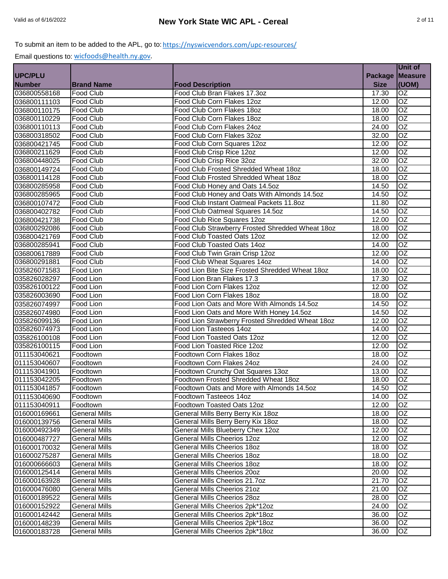| Package   Measure<br><b>Number</b><br>(UOM)<br><b>Brand Name</b><br><b>Food Description</b><br><b>Size</b><br>036800558168<br>OZ<br>Food Club<br>Food Club Bran Flakes 17.3oz<br>17.30<br>OZ<br>036800111103<br><b>Food Club</b><br>Food Club Corn Flakes 12oz<br>12.00<br>$\overline{OZ}$<br>Food Club<br>036800110175<br>Food Club Corn Flakes 18oz<br>18.00<br>$\overline{OZ}$<br>Food Club<br>Food Club Corn Flakes 18oz<br>18.00<br>$\overline{OZ}$<br><b>Food Club</b><br>Food Club Corn Flakes 24oz<br>036800110113<br>24.00<br>$\overline{OZ}$<br><b>Food Club</b><br>Food Club Corn Flakes 32oz<br>32.00<br>OZ<br><b>Food Club</b><br>Food Club Corn Squares 12oz<br>12.00<br>036800421745<br>OZ<br>Food Club<br>Food Club Crisp Rice 12oz<br>12.00<br>$\overline{OZ}$<br>Food Club<br>Food Club Crisp Rice 32oz<br>32.00<br>036800448025<br>OZ<br>Food Club<br>Food Club Frosted Shredded Wheat 18oz<br>18.00<br><b>OZ</b><br>Food Club<br>Food Club Frosted Shredded Wheat 18oz<br>18.00<br>OZ<br>036800285958<br>Food Club<br>14.50<br>Food Club Honey and Oats 14.5oz<br><b>OZ</b><br>036800285965<br>Food Club Honey and Oats With Almonds 14.5oz<br><b>Food Club</b><br>14.50<br>OZ<br>036800107472<br>Food Club Instant Oatmeal Packets 11.8oz<br><b>Food Club</b><br>11.80<br>OZ<br>Food Club<br>Food Club Oatmeal Squares 14.5oz<br>036800402782<br>14.50<br>OZ<br>036800421738<br>Food Club<br>Food Club Rice Squares 12oz<br>12.00<br>Food Club Strawberry Frosted Shredded Wheat 18oz<br>$\overline{OZ}$<br>Food Club<br>18.00<br>036800292086<br>OZ<br><b>Food Club</b><br>Food Club Toasted Oats 12oz<br>12.00<br>036800421769<br><b>OZ</b><br>Food Club<br>Food Club Toasted Oats 14oz<br>14.00<br>036800285941<br>OZ<br>036800617889<br><b>Food Club</b><br>Food Club Twin Grain Crisp 12oz<br>12.00<br>OZ<br>Food Club<br>Food Club Wheat Squares 14oz<br>14.00<br>036800291881<br>OZ<br>Food Lion Bite Size Frosted Shredded Wheat 18oz<br>Food Lion<br>18.00<br>035826071583<br>OZ<br>035826028297<br>Food Lion<br>Food Lion Bran Flakes 17.3<br>17.30<br><b>OZ</b><br>035826100122<br><b>Food Lion</b><br>Food Lion Corn Flakes 12oz<br>12.00<br>OZ<br>035826003690<br>Food Lion Corn Flakes 18oz<br>Food Lion<br>18.00<br>Food Lion Oats and More With Almonds 14.5oz<br>OZ<br>035826074997<br>Food Lion<br>14.50<br>OZ<br>Food Lion Oats and More With Honey 14.5oz<br>035826074980<br>Food Lion<br>14.50<br>Food Lion Strawberry Frosted Shredded Wheat 18oz<br>OZ<br>035826099136<br>Food Lion<br>12.00<br>$\overline{OZ}$<br>035826074973<br>Food Lion<br>Food Lion Tasteeos 14oz<br>14.00<br>$\overline{OZ}$<br>Food Lion<br>Food Lion Toasted Oats 12oz<br>12.00<br>035826100108<br>$\overline{OZ}$<br>035826100115<br>Food Lion<br>Food Lion Toasted Rice 12oz<br>12.00<br>$\overline{OZ}$<br>Foodtown Corn Flakes 18oz<br>011153040621<br>Foodtown<br>18.00<br>OZ<br>Foodtown Corn Flakes 24oz<br>Foodtown<br>24.00<br>011153040607<br>OZ<br>Foodtown<br>Foodtown Crunchy Oat Squares 13oz<br>13.00<br>011153041901<br>011153042205<br><b>OZ</b><br>Foodtown Frosted Shredded Wheat 18oz<br>Foodtown<br>18.00<br>011153041857<br>OZ<br>Foodtown<br>14.50<br>Foodtown Oats and More with Almonds 14.5oz<br><b>OZ</b><br>14.00<br>011153040690<br>Foodtown<br>Foodtown Tasteeos 14oz<br>011153040911<br>OZ<br>Foodtown Toasted Oats 12oz<br>12.00<br>Foodtown<br>016000169661<br>General Mills Berry Berry Kix 18oz<br><b>OZ</b><br><b>General Mills</b><br>18.00<br>General Mills Berry Berry Kix 18oz<br>OZ<br>016000139756<br><b>General Mills</b><br>18.00<br>OZ<br>016000492349<br><b>General Mills</b><br>General Mills Blueberry Chex 12oz<br>12.00<br>OZ<br>016000487727<br><b>General Mills</b><br>General Mills Cheerios 12oz<br>12.00<br>OZ<br><b>General Mills</b><br>General Mills Cheerios 18oz<br>016000170032<br>18.00<br>OZ<br>016000275287<br><b>General Mills</b><br><b>General Mills Cheerios 18oz</b><br>18.00<br>OZ<br><b>General Mills</b><br><b>General Mills Cheerios 18oz</b><br>18.00<br>016000666603<br>OZ<br>016000125414<br><b>General Mills</b><br>General Mills Cheerios 20oz<br>20.00<br>OZ<br>016000163928<br><b>General Mills</b><br>21.70<br>General Mills Cheerios 21.7oz<br>OZ<br>016000476080<br><b>General Mills</b><br>General Mills Cheerios 21oz<br>21.00<br>OZ<br>General Mills Cheerios 28oz<br><b>General Mills</b><br>28.00<br>016000152922<br>OZ<br>General Mills Cheerios 2pk*12oz<br><b>General Mills</b><br>24.00<br>OZ<br>016000142442<br>General Mills Cheerios 2pk*18oz<br>36.00<br><b>General Mills</b><br>OZ<br>016000148239<br><b>General Mills</b><br>General Mills Cheerios 2pk*18oz<br>36.00<br><b>General Mills</b><br>General Mills Cheerios 2pk*18oz<br>36.00<br>OZ |              |  | Unit of |
|------------------------------------------------------------------------------------------------------------------------------------------------------------------------------------------------------------------------------------------------------------------------------------------------------------------------------------------------------------------------------------------------------------------------------------------------------------------------------------------------------------------------------------------------------------------------------------------------------------------------------------------------------------------------------------------------------------------------------------------------------------------------------------------------------------------------------------------------------------------------------------------------------------------------------------------------------------------------------------------------------------------------------------------------------------------------------------------------------------------------------------------------------------------------------------------------------------------------------------------------------------------------------------------------------------------------------------------------------------------------------------------------------------------------------------------------------------------------------------------------------------------------------------------------------------------------------------------------------------------------------------------------------------------------------------------------------------------------------------------------------------------------------------------------------------------------------------------------------------------------------------------------------------------------------------------------------------------------------------------------------------------------------------------------------------------------------------------------------------------------------------------------------------------------------------------------------------------------------------------------------------------------------------------------------------------------------------------------------------------------------------------------------------------------------------------------------------------------------------------------------------------------------------------------------------------------------------------------------------------------------------------------------------------------------------------------------------------------------------------------------------------------------------------------------------------------------------------------------------------------------------------------------------------------------------------------------------------------------------------------------------------------------------------------------------------------------------------------------------------------------------------------------------------------------------------------------------------------------------------------------------------------------------------------------------------------------------------------------------------------------------------------------------------------------------------------------------------------------------------------------------------------------------------------------------------------------------------------------------------------------------------------------------------------------------------------------------------------------------------------------------------------------------------------------------------------------------------------------------------------------------------------------------------------------------------------------------------------------------------------------------------------------------------------------------------------------------------------------------------------------------------------------------------------------------------------------------------------------------------------------------------------------------------------------------------------------------------------------------------------------------------------------------------------------------------------------------------------------------------------------------------------------------------------------------------------------------------------------------------------------------------------------------------------------------------------------------------------------------------------------------------------|--------------|--|---------|
|                                                                                                                                                                                                                                                                                                                                                                                                                                                                                                                                                                                                                                                                                                                                                                                                                                                                                                                                                                                                                                                                                                                                                                                                                                                                                                                                                                                                                                                                                                                                                                                                                                                                                                                                                                                                                                                                                                                                                                                                                                                                                                                                                                                                                                                                                                                                                                                                                                                                                                                                                                                                                                                                                                                                                                                                                                                                                                                                                                                                                                                                                                                                                                                                                                                                                                                                                                                                                                                                                                                                                                                                                                                                                                                                                                                                                                                                                                                                                                                                                                                                                                                                                                                                                                                                                                                                                                                                                                                                                                                                                                                                                                                                                                                                                                        | UPC/PLU      |  |         |
|                                                                                                                                                                                                                                                                                                                                                                                                                                                                                                                                                                                                                                                                                                                                                                                                                                                                                                                                                                                                                                                                                                                                                                                                                                                                                                                                                                                                                                                                                                                                                                                                                                                                                                                                                                                                                                                                                                                                                                                                                                                                                                                                                                                                                                                                                                                                                                                                                                                                                                                                                                                                                                                                                                                                                                                                                                                                                                                                                                                                                                                                                                                                                                                                                                                                                                                                                                                                                                                                                                                                                                                                                                                                                                                                                                                                                                                                                                                                                                                                                                                                                                                                                                                                                                                                                                                                                                                                                                                                                                                                                                                                                                                                                                                                                                        |              |  |         |
|                                                                                                                                                                                                                                                                                                                                                                                                                                                                                                                                                                                                                                                                                                                                                                                                                                                                                                                                                                                                                                                                                                                                                                                                                                                                                                                                                                                                                                                                                                                                                                                                                                                                                                                                                                                                                                                                                                                                                                                                                                                                                                                                                                                                                                                                                                                                                                                                                                                                                                                                                                                                                                                                                                                                                                                                                                                                                                                                                                                                                                                                                                                                                                                                                                                                                                                                                                                                                                                                                                                                                                                                                                                                                                                                                                                                                                                                                                                                                                                                                                                                                                                                                                                                                                                                                                                                                                                                                                                                                                                                                                                                                                                                                                                                                                        |              |  |         |
|                                                                                                                                                                                                                                                                                                                                                                                                                                                                                                                                                                                                                                                                                                                                                                                                                                                                                                                                                                                                                                                                                                                                                                                                                                                                                                                                                                                                                                                                                                                                                                                                                                                                                                                                                                                                                                                                                                                                                                                                                                                                                                                                                                                                                                                                                                                                                                                                                                                                                                                                                                                                                                                                                                                                                                                                                                                                                                                                                                                                                                                                                                                                                                                                                                                                                                                                                                                                                                                                                                                                                                                                                                                                                                                                                                                                                                                                                                                                                                                                                                                                                                                                                                                                                                                                                                                                                                                                                                                                                                                                                                                                                                                                                                                                                                        |              |  |         |
|                                                                                                                                                                                                                                                                                                                                                                                                                                                                                                                                                                                                                                                                                                                                                                                                                                                                                                                                                                                                                                                                                                                                                                                                                                                                                                                                                                                                                                                                                                                                                                                                                                                                                                                                                                                                                                                                                                                                                                                                                                                                                                                                                                                                                                                                                                                                                                                                                                                                                                                                                                                                                                                                                                                                                                                                                                                                                                                                                                                                                                                                                                                                                                                                                                                                                                                                                                                                                                                                                                                                                                                                                                                                                                                                                                                                                                                                                                                                                                                                                                                                                                                                                                                                                                                                                                                                                                                                                                                                                                                                                                                                                                                                                                                                                                        |              |  |         |
|                                                                                                                                                                                                                                                                                                                                                                                                                                                                                                                                                                                                                                                                                                                                                                                                                                                                                                                                                                                                                                                                                                                                                                                                                                                                                                                                                                                                                                                                                                                                                                                                                                                                                                                                                                                                                                                                                                                                                                                                                                                                                                                                                                                                                                                                                                                                                                                                                                                                                                                                                                                                                                                                                                                                                                                                                                                                                                                                                                                                                                                                                                                                                                                                                                                                                                                                                                                                                                                                                                                                                                                                                                                                                                                                                                                                                                                                                                                                                                                                                                                                                                                                                                                                                                                                                                                                                                                                                                                                                                                                                                                                                                                                                                                                                                        | 036800110229 |  |         |
|                                                                                                                                                                                                                                                                                                                                                                                                                                                                                                                                                                                                                                                                                                                                                                                                                                                                                                                                                                                                                                                                                                                                                                                                                                                                                                                                                                                                                                                                                                                                                                                                                                                                                                                                                                                                                                                                                                                                                                                                                                                                                                                                                                                                                                                                                                                                                                                                                                                                                                                                                                                                                                                                                                                                                                                                                                                                                                                                                                                                                                                                                                                                                                                                                                                                                                                                                                                                                                                                                                                                                                                                                                                                                                                                                                                                                                                                                                                                                                                                                                                                                                                                                                                                                                                                                                                                                                                                                                                                                                                                                                                                                                                                                                                                                                        |              |  |         |
|                                                                                                                                                                                                                                                                                                                                                                                                                                                                                                                                                                                                                                                                                                                                                                                                                                                                                                                                                                                                                                                                                                                                                                                                                                                                                                                                                                                                                                                                                                                                                                                                                                                                                                                                                                                                                                                                                                                                                                                                                                                                                                                                                                                                                                                                                                                                                                                                                                                                                                                                                                                                                                                                                                                                                                                                                                                                                                                                                                                                                                                                                                                                                                                                                                                                                                                                                                                                                                                                                                                                                                                                                                                                                                                                                                                                                                                                                                                                                                                                                                                                                                                                                                                                                                                                                                                                                                                                                                                                                                                                                                                                                                                                                                                                                                        | 036800318502 |  |         |
|                                                                                                                                                                                                                                                                                                                                                                                                                                                                                                                                                                                                                                                                                                                                                                                                                                                                                                                                                                                                                                                                                                                                                                                                                                                                                                                                                                                                                                                                                                                                                                                                                                                                                                                                                                                                                                                                                                                                                                                                                                                                                                                                                                                                                                                                                                                                                                                                                                                                                                                                                                                                                                                                                                                                                                                                                                                                                                                                                                                                                                                                                                                                                                                                                                                                                                                                                                                                                                                                                                                                                                                                                                                                                                                                                                                                                                                                                                                                                                                                                                                                                                                                                                                                                                                                                                                                                                                                                                                                                                                                                                                                                                                                                                                                                                        |              |  |         |
|                                                                                                                                                                                                                                                                                                                                                                                                                                                                                                                                                                                                                                                                                                                                                                                                                                                                                                                                                                                                                                                                                                                                                                                                                                                                                                                                                                                                                                                                                                                                                                                                                                                                                                                                                                                                                                                                                                                                                                                                                                                                                                                                                                                                                                                                                                                                                                                                                                                                                                                                                                                                                                                                                                                                                                                                                                                                                                                                                                                                                                                                                                                                                                                                                                                                                                                                                                                                                                                                                                                                                                                                                                                                                                                                                                                                                                                                                                                                                                                                                                                                                                                                                                                                                                                                                                                                                                                                                                                                                                                                                                                                                                                                                                                                                                        | 036800211629 |  |         |
|                                                                                                                                                                                                                                                                                                                                                                                                                                                                                                                                                                                                                                                                                                                                                                                                                                                                                                                                                                                                                                                                                                                                                                                                                                                                                                                                                                                                                                                                                                                                                                                                                                                                                                                                                                                                                                                                                                                                                                                                                                                                                                                                                                                                                                                                                                                                                                                                                                                                                                                                                                                                                                                                                                                                                                                                                                                                                                                                                                                                                                                                                                                                                                                                                                                                                                                                                                                                                                                                                                                                                                                                                                                                                                                                                                                                                                                                                                                                                                                                                                                                                                                                                                                                                                                                                                                                                                                                                                                                                                                                                                                                                                                                                                                                                                        |              |  |         |
|                                                                                                                                                                                                                                                                                                                                                                                                                                                                                                                                                                                                                                                                                                                                                                                                                                                                                                                                                                                                                                                                                                                                                                                                                                                                                                                                                                                                                                                                                                                                                                                                                                                                                                                                                                                                                                                                                                                                                                                                                                                                                                                                                                                                                                                                                                                                                                                                                                                                                                                                                                                                                                                                                                                                                                                                                                                                                                                                                                                                                                                                                                                                                                                                                                                                                                                                                                                                                                                                                                                                                                                                                                                                                                                                                                                                                                                                                                                                                                                                                                                                                                                                                                                                                                                                                                                                                                                                                                                                                                                                                                                                                                                                                                                                                                        | 036800149724 |  |         |
|                                                                                                                                                                                                                                                                                                                                                                                                                                                                                                                                                                                                                                                                                                                                                                                                                                                                                                                                                                                                                                                                                                                                                                                                                                                                                                                                                                                                                                                                                                                                                                                                                                                                                                                                                                                                                                                                                                                                                                                                                                                                                                                                                                                                                                                                                                                                                                                                                                                                                                                                                                                                                                                                                                                                                                                                                                                                                                                                                                                                                                                                                                                                                                                                                                                                                                                                                                                                                                                                                                                                                                                                                                                                                                                                                                                                                                                                                                                                                                                                                                                                                                                                                                                                                                                                                                                                                                                                                                                                                                                                                                                                                                                                                                                                                                        | 036800114128 |  |         |
|                                                                                                                                                                                                                                                                                                                                                                                                                                                                                                                                                                                                                                                                                                                                                                                                                                                                                                                                                                                                                                                                                                                                                                                                                                                                                                                                                                                                                                                                                                                                                                                                                                                                                                                                                                                                                                                                                                                                                                                                                                                                                                                                                                                                                                                                                                                                                                                                                                                                                                                                                                                                                                                                                                                                                                                                                                                                                                                                                                                                                                                                                                                                                                                                                                                                                                                                                                                                                                                                                                                                                                                                                                                                                                                                                                                                                                                                                                                                                                                                                                                                                                                                                                                                                                                                                                                                                                                                                                                                                                                                                                                                                                                                                                                                                                        |              |  |         |
|                                                                                                                                                                                                                                                                                                                                                                                                                                                                                                                                                                                                                                                                                                                                                                                                                                                                                                                                                                                                                                                                                                                                                                                                                                                                                                                                                                                                                                                                                                                                                                                                                                                                                                                                                                                                                                                                                                                                                                                                                                                                                                                                                                                                                                                                                                                                                                                                                                                                                                                                                                                                                                                                                                                                                                                                                                                                                                                                                                                                                                                                                                                                                                                                                                                                                                                                                                                                                                                                                                                                                                                                                                                                                                                                                                                                                                                                                                                                                                                                                                                                                                                                                                                                                                                                                                                                                                                                                                                                                                                                                                                                                                                                                                                                                                        |              |  |         |
|                                                                                                                                                                                                                                                                                                                                                                                                                                                                                                                                                                                                                                                                                                                                                                                                                                                                                                                                                                                                                                                                                                                                                                                                                                                                                                                                                                                                                                                                                                                                                                                                                                                                                                                                                                                                                                                                                                                                                                                                                                                                                                                                                                                                                                                                                                                                                                                                                                                                                                                                                                                                                                                                                                                                                                                                                                                                                                                                                                                                                                                                                                                                                                                                                                                                                                                                                                                                                                                                                                                                                                                                                                                                                                                                                                                                                                                                                                                                                                                                                                                                                                                                                                                                                                                                                                                                                                                                                                                                                                                                                                                                                                                                                                                                                                        |              |  |         |
|                                                                                                                                                                                                                                                                                                                                                                                                                                                                                                                                                                                                                                                                                                                                                                                                                                                                                                                                                                                                                                                                                                                                                                                                                                                                                                                                                                                                                                                                                                                                                                                                                                                                                                                                                                                                                                                                                                                                                                                                                                                                                                                                                                                                                                                                                                                                                                                                                                                                                                                                                                                                                                                                                                                                                                                                                                                                                                                                                                                                                                                                                                                                                                                                                                                                                                                                                                                                                                                                                                                                                                                                                                                                                                                                                                                                                                                                                                                                                                                                                                                                                                                                                                                                                                                                                                                                                                                                                                                                                                                                                                                                                                                                                                                                                                        |              |  |         |
|                                                                                                                                                                                                                                                                                                                                                                                                                                                                                                                                                                                                                                                                                                                                                                                                                                                                                                                                                                                                                                                                                                                                                                                                                                                                                                                                                                                                                                                                                                                                                                                                                                                                                                                                                                                                                                                                                                                                                                                                                                                                                                                                                                                                                                                                                                                                                                                                                                                                                                                                                                                                                                                                                                                                                                                                                                                                                                                                                                                                                                                                                                                                                                                                                                                                                                                                                                                                                                                                                                                                                                                                                                                                                                                                                                                                                                                                                                                                                                                                                                                                                                                                                                                                                                                                                                                                                                                                                                                                                                                                                                                                                                                                                                                                                                        |              |  |         |
|                                                                                                                                                                                                                                                                                                                                                                                                                                                                                                                                                                                                                                                                                                                                                                                                                                                                                                                                                                                                                                                                                                                                                                                                                                                                                                                                                                                                                                                                                                                                                                                                                                                                                                                                                                                                                                                                                                                                                                                                                                                                                                                                                                                                                                                                                                                                                                                                                                                                                                                                                                                                                                                                                                                                                                                                                                                                                                                                                                                                                                                                                                                                                                                                                                                                                                                                                                                                                                                                                                                                                                                                                                                                                                                                                                                                                                                                                                                                                                                                                                                                                                                                                                                                                                                                                                                                                                                                                                                                                                                                                                                                                                                                                                                                                                        |              |  |         |
|                                                                                                                                                                                                                                                                                                                                                                                                                                                                                                                                                                                                                                                                                                                                                                                                                                                                                                                                                                                                                                                                                                                                                                                                                                                                                                                                                                                                                                                                                                                                                                                                                                                                                                                                                                                                                                                                                                                                                                                                                                                                                                                                                                                                                                                                                                                                                                                                                                                                                                                                                                                                                                                                                                                                                                                                                                                                                                                                                                                                                                                                                                                                                                                                                                                                                                                                                                                                                                                                                                                                                                                                                                                                                                                                                                                                                                                                                                                                                                                                                                                                                                                                                                                                                                                                                                                                                                                                                                                                                                                                                                                                                                                                                                                                                                        |              |  |         |
|                                                                                                                                                                                                                                                                                                                                                                                                                                                                                                                                                                                                                                                                                                                                                                                                                                                                                                                                                                                                                                                                                                                                                                                                                                                                                                                                                                                                                                                                                                                                                                                                                                                                                                                                                                                                                                                                                                                                                                                                                                                                                                                                                                                                                                                                                                                                                                                                                                                                                                                                                                                                                                                                                                                                                                                                                                                                                                                                                                                                                                                                                                                                                                                                                                                                                                                                                                                                                                                                                                                                                                                                                                                                                                                                                                                                                                                                                                                                                                                                                                                                                                                                                                                                                                                                                                                                                                                                                                                                                                                                                                                                                                                                                                                                                                        |              |  |         |
|                                                                                                                                                                                                                                                                                                                                                                                                                                                                                                                                                                                                                                                                                                                                                                                                                                                                                                                                                                                                                                                                                                                                                                                                                                                                                                                                                                                                                                                                                                                                                                                                                                                                                                                                                                                                                                                                                                                                                                                                                                                                                                                                                                                                                                                                                                                                                                                                                                                                                                                                                                                                                                                                                                                                                                                                                                                                                                                                                                                                                                                                                                                                                                                                                                                                                                                                                                                                                                                                                                                                                                                                                                                                                                                                                                                                                                                                                                                                                                                                                                                                                                                                                                                                                                                                                                                                                                                                                                                                                                                                                                                                                                                                                                                                                                        |              |  |         |
|                                                                                                                                                                                                                                                                                                                                                                                                                                                                                                                                                                                                                                                                                                                                                                                                                                                                                                                                                                                                                                                                                                                                                                                                                                                                                                                                                                                                                                                                                                                                                                                                                                                                                                                                                                                                                                                                                                                                                                                                                                                                                                                                                                                                                                                                                                                                                                                                                                                                                                                                                                                                                                                                                                                                                                                                                                                                                                                                                                                                                                                                                                                                                                                                                                                                                                                                                                                                                                                                                                                                                                                                                                                                                                                                                                                                                                                                                                                                                                                                                                                                                                                                                                                                                                                                                                                                                                                                                                                                                                                                                                                                                                                                                                                                                                        |              |  |         |
|                                                                                                                                                                                                                                                                                                                                                                                                                                                                                                                                                                                                                                                                                                                                                                                                                                                                                                                                                                                                                                                                                                                                                                                                                                                                                                                                                                                                                                                                                                                                                                                                                                                                                                                                                                                                                                                                                                                                                                                                                                                                                                                                                                                                                                                                                                                                                                                                                                                                                                                                                                                                                                                                                                                                                                                                                                                                                                                                                                                                                                                                                                                                                                                                                                                                                                                                                                                                                                                                                                                                                                                                                                                                                                                                                                                                                                                                                                                                                                                                                                                                                                                                                                                                                                                                                                                                                                                                                                                                                                                                                                                                                                                                                                                                                                        |              |  |         |
|                                                                                                                                                                                                                                                                                                                                                                                                                                                                                                                                                                                                                                                                                                                                                                                                                                                                                                                                                                                                                                                                                                                                                                                                                                                                                                                                                                                                                                                                                                                                                                                                                                                                                                                                                                                                                                                                                                                                                                                                                                                                                                                                                                                                                                                                                                                                                                                                                                                                                                                                                                                                                                                                                                                                                                                                                                                                                                                                                                                                                                                                                                                                                                                                                                                                                                                                                                                                                                                                                                                                                                                                                                                                                                                                                                                                                                                                                                                                                                                                                                                                                                                                                                                                                                                                                                                                                                                                                                                                                                                                                                                                                                                                                                                                                                        |              |  |         |
|                                                                                                                                                                                                                                                                                                                                                                                                                                                                                                                                                                                                                                                                                                                                                                                                                                                                                                                                                                                                                                                                                                                                                                                                                                                                                                                                                                                                                                                                                                                                                                                                                                                                                                                                                                                                                                                                                                                                                                                                                                                                                                                                                                                                                                                                                                                                                                                                                                                                                                                                                                                                                                                                                                                                                                                                                                                                                                                                                                                                                                                                                                                                                                                                                                                                                                                                                                                                                                                                                                                                                                                                                                                                                                                                                                                                                                                                                                                                                                                                                                                                                                                                                                                                                                                                                                                                                                                                                                                                                                                                                                                                                                                                                                                                                                        |              |  |         |
|                                                                                                                                                                                                                                                                                                                                                                                                                                                                                                                                                                                                                                                                                                                                                                                                                                                                                                                                                                                                                                                                                                                                                                                                                                                                                                                                                                                                                                                                                                                                                                                                                                                                                                                                                                                                                                                                                                                                                                                                                                                                                                                                                                                                                                                                                                                                                                                                                                                                                                                                                                                                                                                                                                                                                                                                                                                                                                                                                                                                                                                                                                                                                                                                                                                                                                                                                                                                                                                                                                                                                                                                                                                                                                                                                                                                                                                                                                                                                                                                                                                                                                                                                                                                                                                                                                                                                                                                                                                                                                                                                                                                                                                                                                                                                                        |              |  |         |
|                                                                                                                                                                                                                                                                                                                                                                                                                                                                                                                                                                                                                                                                                                                                                                                                                                                                                                                                                                                                                                                                                                                                                                                                                                                                                                                                                                                                                                                                                                                                                                                                                                                                                                                                                                                                                                                                                                                                                                                                                                                                                                                                                                                                                                                                                                                                                                                                                                                                                                                                                                                                                                                                                                                                                                                                                                                                                                                                                                                                                                                                                                                                                                                                                                                                                                                                                                                                                                                                                                                                                                                                                                                                                                                                                                                                                                                                                                                                                                                                                                                                                                                                                                                                                                                                                                                                                                                                                                                                                                                                                                                                                                                                                                                                                                        |              |  |         |
|                                                                                                                                                                                                                                                                                                                                                                                                                                                                                                                                                                                                                                                                                                                                                                                                                                                                                                                                                                                                                                                                                                                                                                                                                                                                                                                                                                                                                                                                                                                                                                                                                                                                                                                                                                                                                                                                                                                                                                                                                                                                                                                                                                                                                                                                                                                                                                                                                                                                                                                                                                                                                                                                                                                                                                                                                                                                                                                                                                                                                                                                                                                                                                                                                                                                                                                                                                                                                                                                                                                                                                                                                                                                                                                                                                                                                                                                                                                                                                                                                                                                                                                                                                                                                                                                                                                                                                                                                                                                                                                                                                                                                                                                                                                                                                        |              |  |         |
|                                                                                                                                                                                                                                                                                                                                                                                                                                                                                                                                                                                                                                                                                                                                                                                                                                                                                                                                                                                                                                                                                                                                                                                                                                                                                                                                                                                                                                                                                                                                                                                                                                                                                                                                                                                                                                                                                                                                                                                                                                                                                                                                                                                                                                                                                                                                                                                                                                                                                                                                                                                                                                                                                                                                                                                                                                                                                                                                                                                                                                                                                                                                                                                                                                                                                                                                                                                                                                                                                                                                                                                                                                                                                                                                                                                                                                                                                                                                                                                                                                                                                                                                                                                                                                                                                                                                                                                                                                                                                                                                                                                                                                                                                                                                                                        |              |  |         |
|                                                                                                                                                                                                                                                                                                                                                                                                                                                                                                                                                                                                                                                                                                                                                                                                                                                                                                                                                                                                                                                                                                                                                                                                                                                                                                                                                                                                                                                                                                                                                                                                                                                                                                                                                                                                                                                                                                                                                                                                                                                                                                                                                                                                                                                                                                                                                                                                                                                                                                                                                                                                                                                                                                                                                                                                                                                                                                                                                                                                                                                                                                                                                                                                                                                                                                                                                                                                                                                                                                                                                                                                                                                                                                                                                                                                                                                                                                                                                                                                                                                                                                                                                                                                                                                                                                                                                                                                                                                                                                                                                                                                                                                                                                                                                                        |              |  |         |
|                                                                                                                                                                                                                                                                                                                                                                                                                                                                                                                                                                                                                                                                                                                                                                                                                                                                                                                                                                                                                                                                                                                                                                                                                                                                                                                                                                                                                                                                                                                                                                                                                                                                                                                                                                                                                                                                                                                                                                                                                                                                                                                                                                                                                                                                                                                                                                                                                                                                                                                                                                                                                                                                                                                                                                                                                                                                                                                                                                                                                                                                                                                                                                                                                                                                                                                                                                                                                                                                                                                                                                                                                                                                                                                                                                                                                                                                                                                                                                                                                                                                                                                                                                                                                                                                                                                                                                                                                                                                                                                                                                                                                                                                                                                                                                        |              |  |         |
|                                                                                                                                                                                                                                                                                                                                                                                                                                                                                                                                                                                                                                                                                                                                                                                                                                                                                                                                                                                                                                                                                                                                                                                                                                                                                                                                                                                                                                                                                                                                                                                                                                                                                                                                                                                                                                                                                                                                                                                                                                                                                                                                                                                                                                                                                                                                                                                                                                                                                                                                                                                                                                                                                                                                                                                                                                                                                                                                                                                                                                                                                                                                                                                                                                                                                                                                                                                                                                                                                                                                                                                                                                                                                                                                                                                                                                                                                                                                                                                                                                                                                                                                                                                                                                                                                                                                                                                                                                                                                                                                                                                                                                                                                                                                                                        |              |  |         |
|                                                                                                                                                                                                                                                                                                                                                                                                                                                                                                                                                                                                                                                                                                                                                                                                                                                                                                                                                                                                                                                                                                                                                                                                                                                                                                                                                                                                                                                                                                                                                                                                                                                                                                                                                                                                                                                                                                                                                                                                                                                                                                                                                                                                                                                                                                                                                                                                                                                                                                                                                                                                                                                                                                                                                                                                                                                                                                                                                                                                                                                                                                                                                                                                                                                                                                                                                                                                                                                                                                                                                                                                                                                                                                                                                                                                                                                                                                                                                                                                                                                                                                                                                                                                                                                                                                                                                                                                                                                                                                                                                                                                                                                                                                                                                                        |              |  |         |
|                                                                                                                                                                                                                                                                                                                                                                                                                                                                                                                                                                                                                                                                                                                                                                                                                                                                                                                                                                                                                                                                                                                                                                                                                                                                                                                                                                                                                                                                                                                                                                                                                                                                                                                                                                                                                                                                                                                                                                                                                                                                                                                                                                                                                                                                                                                                                                                                                                                                                                                                                                                                                                                                                                                                                                                                                                                                                                                                                                                                                                                                                                                                                                                                                                                                                                                                                                                                                                                                                                                                                                                                                                                                                                                                                                                                                                                                                                                                                                                                                                                                                                                                                                                                                                                                                                                                                                                                                                                                                                                                                                                                                                                                                                                                                                        |              |  |         |
|                                                                                                                                                                                                                                                                                                                                                                                                                                                                                                                                                                                                                                                                                                                                                                                                                                                                                                                                                                                                                                                                                                                                                                                                                                                                                                                                                                                                                                                                                                                                                                                                                                                                                                                                                                                                                                                                                                                                                                                                                                                                                                                                                                                                                                                                                                                                                                                                                                                                                                                                                                                                                                                                                                                                                                                                                                                                                                                                                                                                                                                                                                                                                                                                                                                                                                                                                                                                                                                                                                                                                                                                                                                                                                                                                                                                                                                                                                                                                                                                                                                                                                                                                                                                                                                                                                                                                                                                                                                                                                                                                                                                                                                                                                                                                                        |              |  |         |
|                                                                                                                                                                                                                                                                                                                                                                                                                                                                                                                                                                                                                                                                                                                                                                                                                                                                                                                                                                                                                                                                                                                                                                                                                                                                                                                                                                                                                                                                                                                                                                                                                                                                                                                                                                                                                                                                                                                                                                                                                                                                                                                                                                                                                                                                                                                                                                                                                                                                                                                                                                                                                                                                                                                                                                                                                                                                                                                                                                                                                                                                                                                                                                                                                                                                                                                                                                                                                                                                                                                                                                                                                                                                                                                                                                                                                                                                                                                                                                                                                                                                                                                                                                                                                                                                                                                                                                                                                                                                                                                                                                                                                                                                                                                                                                        |              |  |         |
|                                                                                                                                                                                                                                                                                                                                                                                                                                                                                                                                                                                                                                                                                                                                                                                                                                                                                                                                                                                                                                                                                                                                                                                                                                                                                                                                                                                                                                                                                                                                                                                                                                                                                                                                                                                                                                                                                                                                                                                                                                                                                                                                                                                                                                                                                                                                                                                                                                                                                                                                                                                                                                                                                                                                                                                                                                                                                                                                                                                                                                                                                                                                                                                                                                                                                                                                                                                                                                                                                                                                                                                                                                                                                                                                                                                                                                                                                                                                                                                                                                                                                                                                                                                                                                                                                                                                                                                                                                                                                                                                                                                                                                                                                                                                                                        |              |  |         |
|                                                                                                                                                                                                                                                                                                                                                                                                                                                                                                                                                                                                                                                                                                                                                                                                                                                                                                                                                                                                                                                                                                                                                                                                                                                                                                                                                                                                                                                                                                                                                                                                                                                                                                                                                                                                                                                                                                                                                                                                                                                                                                                                                                                                                                                                                                                                                                                                                                                                                                                                                                                                                                                                                                                                                                                                                                                                                                                                                                                                                                                                                                                                                                                                                                                                                                                                                                                                                                                                                                                                                                                                                                                                                                                                                                                                                                                                                                                                                                                                                                                                                                                                                                                                                                                                                                                                                                                                                                                                                                                                                                                                                                                                                                                                                                        |              |  |         |
|                                                                                                                                                                                                                                                                                                                                                                                                                                                                                                                                                                                                                                                                                                                                                                                                                                                                                                                                                                                                                                                                                                                                                                                                                                                                                                                                                                                                                                                                                                                                                                                                                                                                                                                                                                                                                                                                                                                                                                                                                                                                                                                                                                                                                                                                                                                                                                                                                                                                                                                                                                                                                                                                                                                                                                                                                                                                                                                                                                                                                                                                                                                                                                                                                                                                                                                                                                                                                                                                                                                                                                                                                                                                                                                                                                                                                                                                                                                                                                                                                                                                                                                                                                                                                                                                                                                                                                                                                                                                                                                                                                                                                                                                                                                                                                        |              |  |         |
|                                                                                                                                                                                                                                                                                                                                                                                                                                                                                                                                                                                                                                                                                                                                                                                                                                                                                                                                                                                                                                                                                                                                                                                                                                                                                                                                                                                                                                                                                                                                                                                                                                                                                                                                                                                                                                                                                                                                                                                                                                                                                                                                                                                                                                                                                                                                                                                                                                                                                                                                                                                                                                                                                                                                                                                                                                                                                                                                                                                                                                                                                                                                                                                                                                                                                                                                                                                                                                                                                                                                                                                                                                                                                                                                                                                                                                                                                                                                                                                                                                                                                                                                                                                                                                                                                                                                                                                                                                                                                                                                                                                                                                                                                                                                                                        |              |  |         |
|                                                                                                                                                                                                                                                                                                                                                                                                                                                                                                                                                                                                                                                                                                                                                                                                                                                                                                                                                                                                                                                                                                                                                                                                                                                                                                                                                                                                                                                                                                                                                                                                                                                                                                                                                                                                                                                                                                                                                                                                                                                                                                                                                                                                                                                                                                                                                                                                                                                                                                                                                                                                                                                                                                                                                                                                                                                                                                                                                                                                                                                                                                                                                                                                                                                                                                                                                                                                                                                                                                                                                                                                                                                                                                                                                                                                                                                                                                                                                                                                                                                                                                                                                                                                                                                                                                                                                                                                                                                                                                                                                                                                                                                                                                                                                                        |              |  |         |
|                                                                                                                                                                                                                                                                                                                                                                                                                                                                                                                                                                                                                                                                                                                                                                                                                                                                                                                                                                                                                                                                                                                                                                                                                                                                                                                                                                                                                                                                                                                                                                                                                                                                                                                                                                                                                                                                                                                                                                                                                                                                                                                                                                                                                                                                                                                                                                                                                                                                                                                                                                                                                                                                                                                                                                                                                                                                                                                                                                                                                                                                                                                                                                                                                                                                                                                                                                                                                                                                                                                                                                                                                                                                                                                                                                                                                                                                                                                                                                                                                                                                                                                                                                                                                                                                                                                                                                                                                                                                                                                                                                                                                                                                                                                                                                        |              |  |         |
|                                                                                                                                                                                                                                                                                                                                                                                                                                                                                                                                                                                                                                                                                                                                                                                                                                                                                                                                                                                                                                                                                                                                                                                                                                                                                                                                                                                                                                                                                                                                                                                                                                                                                                                                                                                                                                                                                                                                                                                                                                                                                                                                                                                                                                                                                                                                                                                                                                                                                                                                                                                                                                                                                                                                                                                                                                                                                                                                                                                                                                                                                                                                                                                                                                                                                                                                                                                                                                                                                                                                                                                                                                                                                                                                                                                                                                                                                                                                                                                                                                                                                                                                                                                                                                                                                                                                                                                                                                                                                                                                                                                                                                                                                                                                                                        |              |  |         |
|                                                                                                                                                                                                                                                                                                                                                                                                                                                                                                                                                                                                                                                                                                                                                                                                                                                                                                                                                                                                                                                                                                                                                                                                                                                                                                                                                                                                                                                                                                                                                                                                                                                                                                                                                                                                                                                                                                                                                                                                                                                                                                                                                                                                                                                                                                                                                                                                                                                                                                                                                                                                                                                                                                                                                                                                                                                                                                                                                                                                                                                                                                                                                                                                                                                                                                                                                                                                                                                                                                                                                                                                                                                                                                                                                                                                                                                                                                                                                                                                                                                                                                                                                                                                                                                                                                                                                                                                                                                                                                                                                                                                                                                                                                                                                                        |              |  |         |
|                                                                                                                                                                                                                                                                                                                                                                                                                                                                                                                                                                                                                                                                                                                                                                                                                                                                                                                                                                                                                                                                                                                                                                                                                                                                                                                                                                                                                                                                                                                                                                                                                                                                                                                                                                                                                                                                                                                                                                                                                                                                                                                                                                                                                                                                                                                                                                                                                                                                                                                                                                                                                                                                                                                                                                                                                                                                                                                                                                                                                                                                                                                                                                                                                                                                                                                                                                                                                                                                                                                                                                                                                                                                                                                                                                                                                                                                                                                                                                                                                                                                                                                                                                                                                                                                                                                                                                                                                                                                                                                                                                                                                                                                                                                                                                        |              |  |         |
|                                                                                                                                                                                                                                                                                                                                                                                                                                                                                                                                                                                                                                                                                                                                                                                                                                                                                                                                                                                                                                                                                                                                                                                                                                                                                                                                                                                                                                                                                                                                                                                                                                                                                                                                                                                                                                                                                                                                                                                                                                                                                                                                                                                                                                                                                                                                                                                                                                                                                                                                                                                                                                                                                                                                                                                                                                                                                                                                                                                                                                                                                                                                                                                                                                                                                                                                                                                                                                                                                                                                                                                                                                                                                                                                                                                                                                                                                                                                                                                                                                                                                                                                                                                                                                                                                                                                                                                                                                                                                                                                                                                                                                                                                                                                                                        |              |  |         |
|                                                                                                                                                                                                                                                                                                                                                                                                                                                                                                                                                                                                                                                                                                                                                                                                                                                                                                                                                                                                                                                                                                                                                                                                                                                                                                                                                                                                                                                                                                                                                                                                                                                                                                                                                                                                                                                                                                                                                                                                                                                                                                                                                                                                                                                                                                                                                                                                                                                                                                                                                                                                                                                                                                                                                                                                                                                                                                                                                                                                                                                                                                                                                                                                                                                                                                                                                                                                                                                                                                                                                                                                                                                                                                                                                                                                                                                                                                                                                                                                                                                                                                                                                                                                                                                                                                                                                                                                                                                                                                                                                                                                                                                                                                                                                                        |              |  |         |
|                                                                                                                                                                                                                                                                                                                                                                                                                                                                                                                                                                                                                                                                                                                                                                                                                                                                                                                                                                                                                                                                                                                                                                                                                                                                                                                                                                                                                                                                                                                                                                                                                                                                                                                                                                                                                                                                                                                                                                                                                                                                                                                                                                                                                                                                                                                                                                                                                                                                                                                                                                                                                                                                                                                                                                                                                                                                                                                                                                                                                                                                                                                                                                                                                                                                                                                                                                                                                                                                                                                                                                                                                                                                                                                                                                                                                                                                                                                                                                                                                                                                                                                                                                                                                                                                                                                                                                                                                                                                                                                                                                                                                                                                                                                                                                        |              |  |         |
|                                                                                                                                                                                                                                                                                                                                                                                                                                                                                                                                                                                                                                                                                                                                                                                                                                                                                                                                                                                                                                                                                                                                                                                                                                                                                                                                                                                                                                                                                                                                                                                                                                                                                                                                                                                                                                                                                                                                                                                                                                                                                                                                                                                                                                                                                                                                                                                                                                                                                                                                                                                                                                                                                                                                                                                                                                                                                                                                                                                                                                                                                                                                                                                                                                                                                                                                                                                                                                                                                                                                                                                                                                                                                                                                                                                                                                                                                                                                                                                                                                                                                                                                                                                                                                                                                                                                                                                                                                                                                                                                                                                                                                                                                                                                                                        |              |  |         |
|                                                                                                                                                                                                                                                                                                                                                                                                                                                                                                                                                                                                                                                                                                                                                                                                                                                                                                                                                                                                                                                                                                                                                                                                                                                                                                                                                                                                                                                                                                                                                                                                                                                                                                                                                                                                                                                                                                                                                                                                                                                                                                                                                                                                                                                                                                                                                                                                                                                                                                                                                                                                                                                                                                                                                                                                                                                                                                                                                                                                                                                                                                                                                                                                                                                                                                                                                                                                                                                                                                                                                                                                                                                                                                                                                                                                                                                                                                                                                                                                                                                                                                                                                                                                                                                                                                                                                                                                                                                                                                                                                                                                                                                                                                                                                                        | 016000189522 |  |         |
|                                                                                                                                                                                                                                                                                                                                                                                                                                                                                                                                                                                                                                                                                                                                                                                                                                                                                                                                                                                                                                                                                                                                                                                                                                                                                                                                                                                                                                                                                                                                                                                                                                                                                                                                                                                                                                                                                                                                                                                                                                                                                                                                                                                                                                                                                                                                                                                                                                                                                                                                                                                                                                                                                                                                                                                                                                                                                                                                                                                                                                                                                                                                                                                                                                                                                                                                                                                                                                                                                                                                                                                                                                                                                                                                                                                                                                                                                                                                                                                                                                                                                                                                                                                                                                                                                                                                                                                                                                                                                                                                                                                                                                                                                                                                                                        |              |  |         |
|                                                                                                                                                                                                                                                                                                                                                                                                                                                                                                                                                                                                                                                                                                                                                                                                                                                                                                                                                                                                                                                                                                                                                                                                                                                                                                                                                                                                                                                                                                                                                                                                                                                                                                                                                                                                                                                                                                                                                                                                                                                                                                                                                                                                                                                                                                                                                                                                                                                                                                                                                                                                                                                                                                                                                                                                                                                                                                                                                                                                                                                                                                                                                                                                                                                                                                                                                                                                                                                                                                                                                                                                                                                                                                                                                                                                                                                                                                                                                                                                                                                                                                                                                                                                                                                                                                                                                                                                                                                                                                                                                                                                                                                                                                                                                                        |              |  |         |
|                                                                                                                                                                                                                                                                                                                                                                                                                                                                                                                                                                                                                                                                                                                                                                                                                                                                                                                                                                                                                                                                                                                                                                                                                                                                                                                                                                                                                                                                                                                                                                                                                                                                                                                                                                                                                                                                                                                                                                                                                                                                                                                                                                                                                                                                                                                                                                                                                                                                                                                                                                                                                                                                                                                                                                                                                                                                                                                                                                                                                                                                                                                                                                                                                                                                                                                                                                                                                                                                                                                                                                                                                                                                                                                                                                                                                                                                                                                                                                                                                                                                                                                                                                                                                                                                                                                                                                                                                                                                                                                                                                                                                                                                                                                                                                        |              |  |         |
|                                                                                                                                                                                                                                                                                                                                                                                                                                                                                                                                                                                                                                                                                                                                                                                                                                                                                                                                                                                                                                                                                                                                                                                                                                                                                                                                                                                                                                                                                                                                                                                                                                                                                                                                                                                                                                                                                                                                                                                                                                                                                                                                                                                                                                                                                                                                                                                                                                                                                                                                                                                                                                                                                                                                                                                                                                                                                                                                                                                                                                                                                                                                                                                                                                                                                                                                                                                                                                                                                                                                                                                                                                                                                                                                                                                                                                                                                                                                                                                                                                                                                                                                                                                                                                                                                                                                                                                                                                                                                                                                                                                                                                                                                                                                                                        | 016000183728 |  |         |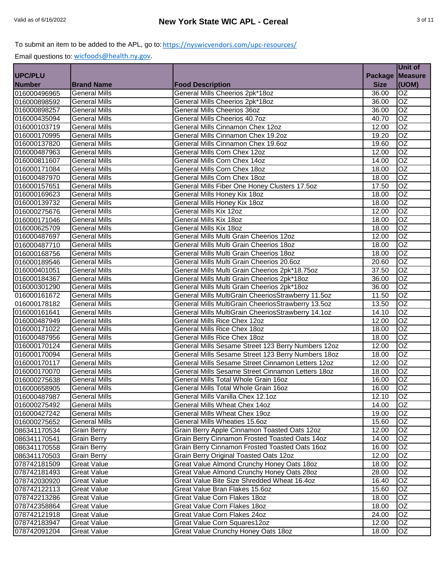|                |                      |                                                    |                | <b>Unit of</b>  |
|----------------|----------------------|----------------------------------------------------|----------------|-----------------|
| <b>UPC/PLU</b> |                      |                                                    | <b>Package</b> | <b>Measure</b>  |
| <b>Number</b>  | <b>Brand Name</b>    | <b>Food Description</b>                            | <b>Size</b>    | (UOM)           |
| 016000496965   | <b>General Mills</b> | General Mills Cheerios 2pk*18oz                    | 36.00          | <b>OZ</b>       |
| 016000898592   | <b>General Mills</b> | General Mills Cheerios 2pk*18oz                    | 36.00          | OZ              |
| 016000898257   | <b>General Mills</b> | <b>General Mills Cheerios 36oz</b>                 | 36.00          | $\overline{OZ}$ |
| 016000435094   | <b>General Mills</b> | General Mills Cheerios 40.7oz                      | 40.70          | $\overline{OZ}$ |
| 016000103719   | <b>General Mills</b> | General Mills Cinnamon Chex 12oz                   | 12.00          | $\overline{OZ}$ |
| 016000170995   | <b>General Mills</b> | General Mills Cinnamon Chex 19.2oz                 | 19.20          | $\overline{OZ}$ |
| 016000137820   | <b>General Mills</b> | General Mills Cinnamon Chex 19.6oz                 | 19.60          | OZ              |
| 016000487963   | <b>General Mills</b> | General Mills Corn Chex 12oz                       | 12.00          | OZ              |
| 016000811607   | <b>General Mills</b> | General Mills Corn Chex 14oz                       | 14.00          | $\overline{OZ}$ |
| 016000171084   | <b>General Mills</b> | General Mills Corn Chex 18oz                       | 18.00          | $\overline{OZ}$ |
| 016000487970   | <b>General Mills</b> | General Mills Corn Chex 18oz                       | 18.00          | OZ              |
| 016000157651   | <b>General Mills</b> | General Mills Fiber One Honey Clusters 17.5oz      | 17.50          | $\overline{OZ}$ |
| 016000169623   | <b>General Mills</b> | General Mills Honey Kix 18oz                       | 18.00          | <b>OZ</b>       |
| 016000139732   | <b>General Mills</b> | General Mills Honey Kix 18oz                       | 18.00          | $\overline{OZ}$ |
| 016000275676   | <b>General Mills</b> | General Mills Kix 12oz                             | 12.00          | $\overline{OZ}$ |
| 016000171046   | <b>General Mills</b> | General Mills Kix 18oz                             | 18.00          | $\overline{OZ}$ |
| 016000625709   | <b>General Mills</b> | General Mills Kix 18oz                             | 18.00          | $\overline{OZ}$ |
| 016000487697   | <b>General Mills</b> | General Mills Multi Grain Cheerios 12oz            | 12.00          | $\overline{OZ}$ |
| 016000487710   | <b>General Mills</b> | General Mills Multi Grain Cheerios 18oz            | 18.00          | OZ              |
| 016000168756   | <b>General Mills</b> | General Mills Multi Grain Cheerios 18oz            | 18.00          | OZ              |
| 016000189546   | <b>General Mills</b> | General Mills Multi Grain Cheerios 20.6oz          | 20.60          | $\overline{OZ}$ |
| 016000401051   | <b>General Mills</b> | General Mills Multi Grain Cheerios 2pk*18.75oz     | 37.50          | OZ              |
| 016000184367   | <b>General Mills</b> | General Mills Multi Grain Cheerios 2pk*18oz        | 36.00          | OZ              |
| 016000301290   | <b>General Mills</b> | General Mills Multi Grain Cheerios 2pk*18oz        | 36.00          | OZ              |
| 016000161672   | <b>General Mills</b> | General Mills MultiGrain CheeriosStrawberry 11.5oz | 11.50          | OZ              |
| 016000178182   | <b>General Mills</b> | General Mills MultiGrain CheeriosStrawberry 13.5oz | 13.50          | $\overline{OZ}$ |
| 016000161641   | <b>General Mills</b> | General Mills MultiGrain CheeriosStrawberry 14.1oz | 14.10          | OZ              |
| 016000487949   | <b>General Mills</b> | <b>General Mills Rice Chex 12oz</b>                | 12.00          | $\overline{OZ}$ |
| 016000171022   | <b>General Mills</b> | General Mills Rice Chex 18oz                       | 18.00          | $\overline{OZ}$ |
| 016000487956   | <b>General Mills</b> | General Mills Rice Chex 18oz                       | 18.00          | $\overline{OZ}$ |
| 016000170124   | <b>General Mills</b> | General Mills Sesame Street 123 Berry Numbers 12oz | 12.00          | $\overline{OZ}$ |
| 016000170094   | <b>General Mills</b> | General Mills Sesame Street 123 Berry Numbers 18oz | 18.00          | $\overline{OZ}$ |
| 016000170117   | <b>General Mills</b> | General Mills Sesame Street Cinnamon Letters 12oz  | 12.00          | OZ              |
| 016000170070   | <b>General Mills</b> | General Mills Sesame Street Cinnamon Letters 18oz  | 18.00          | OZ              |
| 016000275638   | <b>General Mills</b> | General Mills Total Whole Grain 16oz               | 16.00          | OZ              |
| 016000658905   | <b>General Mills</b> | General Mills Total Whole Grain 16oz               | 16.00          | <b>OZ</b>       |
| 016000487987   | <b>General Mills</b> | General Mills Vanilla Chex 12.1oz                  | 12.10          | OZ              |
| 016000275492   | <b>General Mills</b> | General Mills Wheat Chex 14oz                      | 14.00          | <b>OZ</b>       |
| 016000427242   | <b>General Mills</b> | General Mills Wheat Chex 19oz                      | 19.00          | <b>OZ</b>       |
| 016000275652   | <b>General Mills</b> | General Mills Wheaties 15.6oz                      | 15.60          | OZ.             |
| 086341170534   | <b>Grain Berry</b>   | Grain Berry Apple Cinnamon Toasted Oats 12oz       | 12.00          | OZ              |
| 086341170541   | <b>Grain Berry</b>   | Grain Berry Cinnamon Frosted Toasted Oats 14oz     | 14.00          | OZ              |
| 086341170558   | <b>Grain Berry</b>   | Grain Berry Cinnamon Frosted Toasted Oats 16oz     | 16.00          | OZ              |
| 086341170503   | <b>Grain Berry</b>   | Grain Berry Original Toasted Oats 12oz             | 12.00          | OZ              |
| 078742181509   | <b>Great Value</b>   | Great Value Almond Crunchy Honey Oats 18oz         | 18.00          | OZ              |
| 078742181493   | <b>Great Value</b>   | Great Value Almond Crunchy Honey Oats 28oz         | 28.00          | OZ              |
| 078742030920   | <b>Great Value</b>   | Great Value Bite Size Shredded Wheat 16.4oz        | 16.40          | OZ              |
| 078742122113   | <b>Great Value</b>   | Great Value Bran Flakes 15.6oz                     | 15.60          | OZ              |
| 078742213286   | <b>Great Value</b>   | Great Value Corn Flakes 18oz                       | 18.00          | OZ              |
| 078742358864   | <b>Great Value</b>   | Great Value Corn Flakes 18oz                       | 18.00          | OZ              |
| 078742121918   | <b>Great Value</b>   | Great Value Corn Flakes 24oz                       | 24.00          | OZ.             |
| 078742183947   | <b>Great Value</b>   | Great Value Corn Squares12oz                       | 12.00          | OZ.             |
| 078742091204   | <b>Great Value</b>   | Great Value Crunchy Honey Oats 18oz                | 18.00          | OZ              |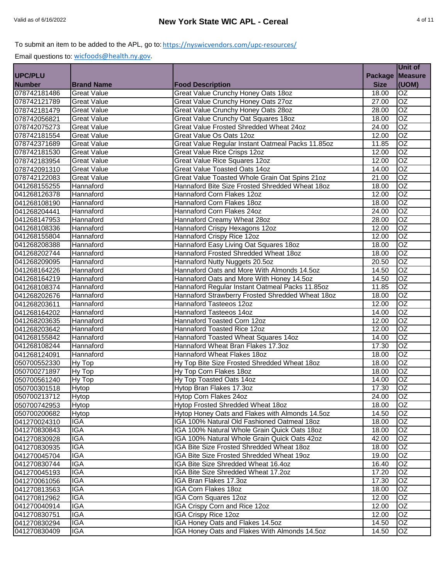|                              |                          |                                                                                                |                | <b>Unit of</b>                     |
|------------------------------|--------------------------|------------------------------------------------------------------------------------------------|----------------|------------------------------------|
| <b>UPC/PLU</b>               |                          |                                                                                                | <b>Package</b> | <b>Measure</b>                     |
| <b>Number</b>                | <b>Brand Name</b>        | <b>Food Description</b>                                                                        | <b>Size</b>    | (UOM)                              |
| 078742181486                 | <b>Great Value</b>       | Great Value Crunchy Honey Oats 18oz                                                            | 18.00          | <b>OZ</b>                          |
| 078742121789                 | <b>Great Value</b>       | Great Value Crunchy Honey Oats 27oz                                                            | 27.00          | OZ                                 |
| 078742181479                 | <b>Great Value</b>       | Great Value Crunchy Honey Oats 28oz                                                            | 28.00          | $\overline{OZ}$                    |
| 078742056821                 | <b>Great Value</b>       | Great Value Crunchy Oat Squares 18oz                                                           | 18.00          | $\overline{OZ}$                    |
| 078742075273                 | <b>Great Value</b>       | Great Value Frosted Shredded Wheat 24oz                                                        | 24.00          | $\overline{OZ}$                    |
| 078742181554                 | <b>Great Value</b>       | Great Value Os Oats 12oz                                                                       | 12.00          | $\overline{OZ}$                    |
| 078742371689                 | <b>Great Value</b>       | Great Value Regular Instant Oatmeal Packs 11.85oz                                              | 11.85          | OZ                                 |
| 078742181530                 | <b>Great Value</b>       | Great Value Rice Crisps 12oz                                                                   | 12.00          | OZ                                 |
| 078742183954                 | <b>Great Value</b>       | <b>Great Value Rice Squares 12oz</b>                                                           | 12.00          | OZ                                 |
| 078742091310                 | <b>Great Value</b>       | <b>Great Value Toasted Oats 14oz</b>                                                           | 14.00          | $\overline{OZ}$                    |
| 078742122083                 | <b>Great Value</b>       | Great Value Toasted Whole Grain Oat Spins 21oz                                                 | 21.00          | OZ                                 |
| 041268155255                 | Hannaford                | Hannaford Bite Size Frosted Shredded Wheat 18oz                                                | 18.00          | OZ                                 |
| 041268126378                 | Hannaford                | Hannaford Corn Flakes 12oz                                                                     | 12.00          | <b>OZ</b>                          |
| 041268108190                 | Hannaford                | Hannaford Corn Flakes 18oz                                                                     | 18.00          | $\overline{OZ}$                    |
| 041268204441                 | Hannaford                | Hannaford Corn Flakes 24oz                                                                     | 24.00          | $\overline{OZ}$                    |
| 041268147953                 | Hannaford                | Hannaford Creamy Wheat 28oz                                                                    | 28.00          | OZ                                 |
| 041268108336                 | Hannaford                | Hannaford Crispy Hexagons 12oz                                                                 | 12.00          | $\overline{OZ}$                    |
| 041268155804                 | Hannaford                | Hannaford Crispy Rice 12oz                                                                     | 12.00          | $\overline{OZ}$                    |
| 041268208388                 | Hannaford                | Hannaford Easy Living Oat Squares 18oz                                                         | 18.00          | OZ                                 |
|                              |                          | Hannaford Frosted Shredded Wheat 18oz                                                          | 18.00          | OZ                                 |
| 041268202744                 | Hannaford                |                                                                                                |                | $\overline{OZ}$                    |
| 041268209095<br>041268164226 | Hannaford<br>Hannaford   | Hannaford Nutty Nuggets 20.5oz<br>Hannaford Oats and More With Almonds 14.5oz                  | 20.50<br>14.50 | OZ                                 |
| 041268164219                 |                          |                                                                                                |                | OZ                                 |
|                              | Hannaford                | Hannaford Oats and More With Honey 14.5oz                                                      | 14.50          | OZ                                 |
| 041268108374<br>041268202676 | Hannaford                | Hannaford Regular Instant Oatmeal Packs 11.85oz                                                | 11.85          | $\overline{OZ}$                    |
|                              | Hannaford                | Hannaford Strawberry Frosted Shredded Wheat 18oz                                               | 18.00          | $\overline{OZ}$                    |
| 041268203611                 | Hannaford                | Hannaford Tasteeos 12oz                                                                        | 12.00          |                                    |
| 041268164202                 | Hannaford                | Hannaford Tasteeos 14oz                                                                        | 14.00          | OZ                                 |
| 041268203635                 | Hannaford<br>Hannaford   | Hannaford Toasted Corn 12oz<br>Hannaford Toasted Rice 12oz                                     | 12.00          | $\overline{OZ}$<br>$\overline{OZ}$ |
| 041268203642<br>041268155842 | Hannaford                | Hannaford Toasted Wheat Squares 14oz                                                           | 12.00          | $\overline{OZ}$                    |
| 041268108244                 | Hannaford                | Hannaford Wheat Bran Flakes 17.3oz                                                             | 14.00<br>17.30 | $\overline{OZ}$                    |
|                              | Hannaford                | Hannaford Wheat Flakes 18oz                                                                    |                | $\overline{OZ}$                    |
| 041268124091                 |                          |                                                                                                | 18.00          | OZ                                 |
| 050700552330                 | Hy Top                   | Hy Top Bite Size Frosted Shredded Wheat 18oz                                                   | 18.00          | OZ                                 |
| 050700271897                 | Hy Top                   | Hy Top Corn Flakes 18oz                                                                        | 18.00          | OZ                                 |
| 050700561240                 | Hy Top                   | Hy Top Toasted Oats 14oz<br>Hytop Bran Flakes 17.3oz                                           | 14.00          | <b>OZ</b>                          |
| 050700301518                 | Hytop                    | <b>Hytop Corn Flakes 24oz</b>                                                                  | 17.30<br>24.00 |                                    |
| 050700213712<br>050700742953 | Hytop                    |                                                                                                |                | lOZ.<br><b>OZ</b>                  |
| 050700200682                 | Hytop                    | Hytop Frosted Shredded Wheat 18oz                                                              | 18.00          |                                    |
|                              | Hytop<br><b>IGA</b>      | Hytop Honey Oats and Flakes with Almonds 14.5oz<br>IGA 100% Natural Old Fashioned Oatmeal 18oz | 14.50<br>18.00 | <b>OZ</b>                          |
| 041270024310<br>041270830843 | <b>IGA</b>               | IGA 100% Natural Whole Grain Quick Oats 18oz                                                   |                | OZ.<br>OZ                          |
|                              |                          |                                                                                                | 18.00          |                                    |
| 041270830928                 | IGA                      | IGA 100% Natural Whole Grain Quick Oats 42oz                                                   | 42.00          | OZ.                                |
| 041270830935                 | <b>IGA</b>               | IGA Bite Size Frosted Shredded Wheat 18oz                                                      | 18.00          | OZ                                 |
| 041270045704                 | <b>IGA</b>               | IGA Bite Size Frosted Shredded Wheat 19oz                                                      | 19.00          | OZ                                 |
| 041270830744                 | <b>IGA</b>               | IGA Bite Size Shredded Wheat 16.4oz                                                            | 16.40          | OZ                                 |
| 041270045193                 | <b>IGA</b>               | IGA Bite Size Shredded Wheat 17.2oz                                                            | 17.20          | $\overline{OZ}$                    |
| 041270061056                 | <b>IGA</b>               | IGA Bran Flakes 17.3oz                                                                         | 17.30          | OZ                                 |
| 041270813563                 | <b>IGA</b>               | <b>IGA Corn Flakes 18oz</b>                                                                    | 18.00          | OZ                                 |
| 041270812962                 | <b>IGA</b>               | IGA Corn Squares 12oz                                                                          | 12.00          | OZ                                 |
| 041270040914                 | <b>IGA</b><br><b>IGA</b> | IGA Crispy Corn and Rice 12oz                                                                  | 12.00          | OZ                                 |
| 041270830751                 |                          | IGA Crispy Rice 12oz                                                                           | 12.00          | OZ.                                |
| 041270830294                 | <b>IGA</b>               | IGA Honey Oats and Flakes 14.5oz                                                               | 14.50          | OZ.                                |
| 041270830409                 | <b>IGA</b>               | IGA Honey Oats and Flakes With Almonds 14.5oz                                                  | 14.50          | OZ                                 |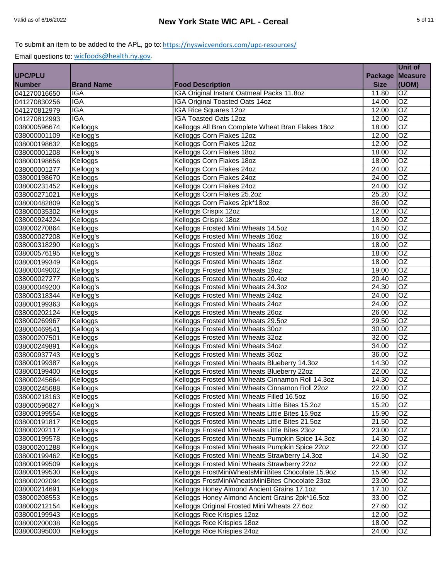|                              |                   |                                                    |                | Unit of         |
|------------------------------|-------------------|----------------------------------------------------|----------------|-----------------|
| <b>UPC/PLU</b>               |                   |                                                    | <b>Package</b> | <b>Measure</b>  |
| <b>Number</b>                | <b>Brand Name</b> | <b>Food Description</b>                            | <b>Size</b>    | (UOM)           |
| 041270016650                 | <b>IGA</b>        | IGA Original Instant Oatmeal Packs 11.8oz          | 11.80          | OZ              |
| 041270830256                 | <b>IGA</b>        | IGA Original Toasted Oats 14oz                     | 14.00          | $\overline{OZ}$ |
| 041270812979                 | <b>IGA</b>        | <b>IGA Rice Squares 12oz</b>                       | 12.00          | <b>OZ</b>       |
| 041270812993                 | <b>IGA</b>        | <b>IGA Toasted Oats 12oz</b>                       | 12.00          | OZ              |
| 038000596674                 | Kelloggs          | Kelloggs All Bran Complete Wheat Bran Flakes 18oz  | 18.00          | $\overline{OZ}$ |
| 038000001109                 | Kellogg's         | Kelloggs Corn Flakes 12oz                          | 12.00          | $\overline{OZ}$ |
| 038000198632                 | Kelloggs          | Kelloggs Corn Flakes 12oz                          | 12.00          | $\overline{OZ}$ |
| 038000001208                 | Kellogg's         | Kelloggs Corn Flakes 18oz                          | 18.00          | $\overline{OZ}$ |
| 038000198656                 | Kelloggs          | Kelloggs Corn Flakes 18oz                          | 18.00          | $\overline{OZ}$ |
| 038000001277                 | Kellogg's         | Kelloggs Corn Flakes 24oz                          | 24.00          | <b>OZ</b>       |
| 038000198670                 | Kelloggs          | Kelloggs Corn Flakes 24oz                          | 24.00          | $\overline{OZ}$ |
| 038000231452                 | Kelloggs          | Kelloggs Corn Flakes 24oz                          | 24.00          | OZ              |
| 038000271021                 | Kelloggs          | Kelloggs Corn Flakes 25.2oz                        | 25.20          | OZ              |
| 038000482809                 | Kellogg's         | Kelloggs Corn Flakes 2pk*18oz                      | 36.00          | <b>OZ</b>       |
| 038000035302                 | Kelloggs          | Kelloggs Crispix 12oz                              | 12.00          | $\overline{OZ}$ |
| 038000924224                 | Kelloggs          | Kelloggs Crispix 18oz                              | 18.00          | $\overline{OZ}$ |
| 038000270864                 | Kelloggs          | Kelloggs Frosted Mini Wheats 14.5oz                | 14.50          | OZ              |
| 038000027208                 | Kellogg's         | Kelloggs Frosted Mini Wheats 16oz                  | 16.00          | OZ              |
| 038000318290                 | Kellogg's         | Kelloggs Frosted Mini Wheats 18oz                  | 18.00          | $\overline{OZ}$ |
| 038000576195                 | Kellogg's         | Kelloggs Frosted Mini Wheats 18oz                  | 18.00          | $\overline{OZ}$ |
| 038000199349                 | Kelloggs          | Kelloggs Frosted Mini Wheats 18oz                  | 18.00          | $\overline{OZ}$ |
| 038000049002                 | Kellogg's         | Kelloggs Frosted Mini Wheats 19oz                  | 19.00          | OZ              |
| 038000027277                 | Kellogg's         | Kelloggs Frosted Mini Wheats 20.4oz                | 20.40          | $\overline{OZ}$ |
| 038000049200                 | Kellogg's         | Kelloggs Frosted Mini Wheats 24.3oz                | 24.30          | OZ              |
| 038000318344                 | Kellogg's         | Kelloggs Frosted Mini Wheats 24oz                  | 24.00          | OZ              |
| 038000199363                 | Kelloggs          | Kelloggs Frosted Mini Wheats 24oz                  | 24.00          | OZ              |
| 038000202124                 | Kelloggs          | Kelloggs Frosted Mini Wheats 26oz                  | 26.00          | $\overline{OZ}$ |
| 038000269967                 | Kelloggs          | Kelloggs Frosted Mini Wheats 29.5oz                | 29.50          | $\overline{OZ}$ |
| 038000469541                 | Kellogg's         | Kelloggs Frosted Mini Wheats 30oz                  | 30.00          | OZ              |
| 038000207501                 | Kelloggs          | Kelloggs Frosted Mini Wheats 32oz                  | 32.00          | OZ              |
| 038000249891                 | Kelloggs          | Kelloggs Frosted Mini Wheats 34oz                  | 34.00          | OZ              |
| 038000937743                 | Kellogg's         | Kelloggs Frosted Mini Wheats 36oz                  | 36.00          | OZ              |
| 038000199387                 | Kelloggs          | Kelloggs Frosted Mini Wheats Blueberry 14.3oz      | 14.30          | $\overline{OZ}$ |
| 038000199400                 | Kelloggs          | Kelloggs Frosted Mini Wheats Blueberry 22oz        | 22.00          | $\overline{OZ}$ |
| 038000245664                 | Kelloggs          | Kelloggs Frosted Mini Wheats Cinnamon Roll 14.3oz  | 14.30          | $\overline{OZ}$ |
| 038000245688                 | Kelloggs          | Kelloggs Frosted Mini Wheats Cinnamon Roll 22oz    | 22.00          | <b>OZ</b>       |
| 038000218163                 | Kelloggs          | Kelloggs Frosted Mini Wheats Filled 16.5oz         | 16.50          | OZ              |
| 038000596827                 | Kellogg's         | Kelloggs Frosted Mini Wheats Little Bites 15.2oz   | 15.20          | OZ              |
| 038000199554                 | Kelloggs          | Kelloggs Frosted Mini Wheats Little Bites 15.9oz   | 15.90          | OZ              |
| 038000191817                 | Kelloggs          | Kelloggs Frosted Mini Wheats Little Bites 21.5oz   | 21.50          | OZ              |
| 038000202117                 | Kelloggs          | Kelloggs Frosted Mini Wheats Little Bites 23oz     | 23.00          | OZ              |
| 038000199578                 | Kelloggs          | Kelloggs Frosted Mini Wheats Pumpkin Spice 14.3oz  | 14.30          | OZ              |
| 038000201288                 | Kelloggs          | Kelloggs Frosted Mini Wheats Pumpkin Spice 22oz    | 22.00          | OZ              |
| 038000199462                 | Kelloggs          | Kelloggs Frosted Mini Wheats Strawberry 14.3oz     | 14.30          | OZ              |
| 038000199509                 | Kelloggs          | Kelloggs Frosted Mini Wheats Strawberry 22oz       | 22.00          | OZ              |
| 038000199530                 | Kelloggs          | Kelloggs FrostMiniWheatsMiniBites Chocolate 15.9oz | 15.90          | OZ              |
|                              | Kelloggs          | Kelloggs FrostMiniWheatsMiniBites Chocolate 23oz   |                | OZ              |
| 038000202094<br>038000214691 |                   |                                                    | 23.00<br>17.10 | OZ              |
|                              | Kelloggs          | Kelloggs Honey Almond Ancient Grains 17.1oz        |                | OZ              |
| 038000208553                 | Kelloggs          | Kelloggs Honey Almond Ancient Grains 2pk*16.5oz    | 33.00          |                 |
| 038000212154                 | Kelloggs          | Kelloggs Original Frosted Mini Wheats 27.6oz       | 27.60          | OZ              |
| 038000199943                 | Kelloggs          | Kelloggs Rice Krispies 12oz                        | 12.00          | OZ              |
| 038000200038                 | Kelloggs          | Kelloggs Rice Krispies 18oz                        | 18.00          | OZ.             |
| 038000395000                 | Kelloggs          | Kelloggs Rice Krispies 24oz                        | 24.00          | OZ              |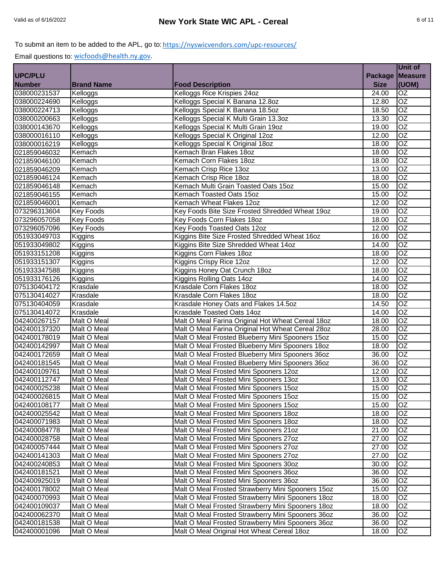|                              |                   |                                                   |                | Unit of         |
|------------------------------|-------------------|---------------------------------------------------|----------------|-----------------|
| <b>UPC/PLU</b>               |                   |                                                   |                | Package Measure |
| <b>Number</b>                | <b>Brand Name</b> | <b>Food Description</b>                           | <b>Size</b>    | (UOM)           |
| 038000231537                 | Kelloggs          | Kelloggs Rice Krispies 24oz                       | 24.00          | <b>OZ</b>       |
| 038000224690                 | Kelloggs          | Kelloggs Special K Banana 12.8oz                  | 12.80          | $\overline{OZ}$ |
| 038000224713                 | Kelloggs          | Kelloggs Special K Banana 18.5oz                  | 18.50          | OZ              |
| 038000200663                 | Kelloggs          | Kelloggs Special K Multi Grain 13.3oz             | 13.30          | $\overline{OZ}$ |
| 038000143670                 | Kelloggs          | Kelloggs Special K Multi Grain 19oz               | 19.00          | $\overline{OZ}$ |
| 038000016110                 | Kelloggs          | Kelloggs Special K Original 12oz                  | 12.00          | $\overline{OZ}$ |
| 038000016219                 | Kelloggs          | Kelloggs Special K Original 18oz                  | 18.00          | $\overline{OZ}$ |
| 021859046032                 | Kemach            | Kemach Bran Flakes 18oz                           | 18.00          | $\overline{OZ}$ |
| 021859046100                 | Kemach            | Kemach Corn Flakes 18oz                           | 18.00          | $\overline{OZ}$ |
| 021859046209                 | Kemach            | Kemach Crisp Rice 13oz                            | 13.00          | $\overline{OZ}$ |
| 021859046124                 | Kemach            | Kemach Crisp Rice 18oz                            | 18.00          | OZ              |
| 021859046148                 | Kemach            | Kemach Multi Grain Toasted Oats 15oz              | 15.00          | $\overline{OZ}$ |
| 021859046155                 | Kemach            | Kemach Toasted Oats 15oz                          | 15.00          | OZ              |
| 021859046001                 | Kemach            | Kemach Wheat Flakes 12oz                          | 12.00          | $\overline{OZ}$ |
| 073296313604                 | <b>Key Foods</b>  | Key Foods Bite Size Frosted Shredded Wheat 19oz   | 19.00          | $\overline{OZ}$ |
| 073296057058                 | <b>Key Foods</b>  | Key Foods Corn Flakes 18oz                        | 18.00          | $\overline{OZ}$ |
| 073296057096                 | <b>Key Foods</b>  | Key Foods Toasted Oats 12oz                       | 12.00          | OZ              |
| 051933049703                 | Kiggins           | Kiggins Bite Size Frosted Shredded Wheat 16oz     | 16.00          | $\overline{OZ}$ |
| 051933049802                 | Kiggins           | Kiggins Bite Size Shredded Wheat 14oz             | 14.00          | OZ              |
| 051933151208                 | Kiggins           | Kiggins Corn Flakes 18oz                          | 18.00          | OZ              |
| 051933151307                 | Kiggins           | Kiggins Crispy Rice 12oz                          | 12.00          | $\overline{OZ}$ |
| 051933347588                 | Kiggins           | Kiggins Honey Oat Crunch 18oz                     | 18.00          | OZ              |
| 051933176126                 | Kiggins           | Kiggins Rolling Oats 14oz                         | 14.00          | OZ              |
| 075130404172                 | Krasdale          | Krasdale Corn Flakes 18oz                         | 18.00          | OZ              |
| 075130414027                 | Krasdale          | Krasdale Corn Flakes 18oz                         | 18.00          | $\overline{OZ}$ |
| 075130404059                 | Krasdale          | Krasdale Honey Oats and Flakes 14.5oz             | 14.50          | $\overline{OZ}$ |
| 075130414072                 | Krasdale          | <b>Krasdale Toasted Oats 14oz</b>                 | 14.00          | $\overline{OZ}$ |
| 042400267157                 | Malt O Meal       | Malt O Meal Farina Original Hot Wheat Cereal 18oz | 18.00          | $\overline{OZ}$ |
| 042400137320                 | Malt O Meal       | Malt O Meal Farina Original Hot Wheat Cereal 28oz | 28.00          | $\overline{OZ}$ |
| 042400178019                 | Malt O Meal       | Malt O Meal Frosted Blueberry Mini Spooners 15oz  | 15.00          | $\overline{OZ}$ |
| 042400142997                 | Malt O Meal       | Malt O Meal Frosted Blueberry Mini Spooners 18oz  | 18.00          | $\overline{OZ}$ |
|                              | Malt O Meal       | Malt O Meal Frosted Blueberry Mini Spooners 36oz  | 36.00          | OZ              |
| 042400172659<br>042400181545 | Malt O Meal       | Malt O Meal Frosted Blueberry Mini Spooners 36oz  |                | $\overline{OZ}$ |
| 042400109761                 | Malt O Meal       |                                                   | 36.00          | $\overline{OZ}$ |
| 042400112747                 |                   | Malt O Meal Frosted Mini Spooners 12oz            | 12.00<br>13.00 | OZ              |
|                              | Malt O Meal       | Malt O Meal Frosted Mini Spooners 13oz            |                |                 |
| 042400025238                 | Malt O Meal       | Malt O Meal Frosted Mini Spooners 15oz            | 15.00          | OZ              |
| 042400026815                 | Malt O Meal       | Malt O Meal Frosted Mini Spooners 15oz            | 15.00          | OZ              |
| 042400108177                 | Malt O Meal       | Malt O Meal Frosted Mini Spooners 15oz            | 15.00          | <b>OZ</b>       |
| 042400025542                 | Malt O Meal       | Malt O Meal Frosted Mini Spooners 18oz            | 18.00          | OZ              |
| 042400071983                 | Malt O Meal       | Malt O Meal Frosted Mini Spooners 18oz            | 18.00          | OZ.             |
| 042400084778                 | Malt O Meal       | Malt O Meal Frosted Mini Spooners 21oz            | 21.00          | OZ              |
| 042400028758                 | Malt O Meal       | Malt O Meal Frosted Mini Spooners 27oz            | 27.00          | OZ              |
| 042400057444                 | Malt O Meal       | Malt O Meal Frosted Mini Spooners 27oz            | 27.00          | OZ              |
| 042400141303                 | Malt O Meal       | Malt O Meal Frosted Mini Spooners 27oz            | 27.00          | OZ              |
| 042400240853                 | Malt O Meal       | Malt O Meal Frosted Mini Spooners 30oz            | 30.00          | OZ              |
| 042400181521                 | Malt O Meal       | Malt O Meal Frosted Mini Spooners 36oz            | 36.00          | OZ              |
| 042400925019                 | Malt O Meal       | Malt O Meal Frosted Mini Spooners 36oz            | 36.00          | OZ              |
| 042400178002                 | Malt O Meal       | Malt O Meal Frosted Strawberry Mini Spooners 15oz | 15.00          | OZ              |
| 042400070993                 | Malt O Meal       | Malt O Meal Frosted Strawberry Mini Spooners 18oz | 18.00          | OZ              |
| 042400109037                 | Malt O Meal       | Malt O Meal Frosted Strawberry Mini Spooners 18oz | 18.00          | OZ              |
| 042400062370                 | Malt O Meal       | Malt O Meal Frosted Strawberry Mini Spooners 36oz | 36.00          | OZ              |
| 042400181538                 | Malt O Meal       | Malt O Meal Frosted Strawberry Mini Spooners 36oz | 36.00          | OZ              |
| 042400001096                 | Malt O Meal       | Malt O Meal Original Hot Wheat Cereal 18oz        | 18.00          | OZ              |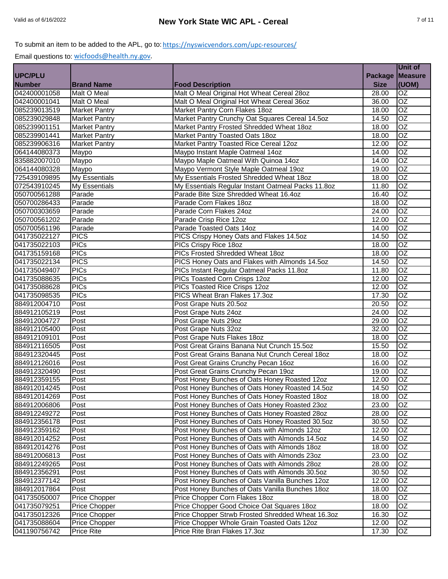|                |                      |                                                    |                | Unit of         |
|----------------|----------------------|----------------------------------------------------|----------------|-----------------|
| <b>UPC/PLU</b> |                      |                                                    | <b>Package</b> | <b>Measure</b>  |
| <b>Number</b>  | <b>Brand Name</b>    | <b>Food Description</b>                            | <b>Size</b>    | (UOM)           |
| 042400001058   | Malt O Meal          | Malt O Meal Original Hot Wheat Cereal 28oz         | 28.00          | OZ              |
| 042400001041   | Malt O Meal          | Malt O Meal Original Hot Wheat Cereal 36oz         | 36.00          | $\overline{OZ}$ |
| 085239013519   | <b>Market Pantry</b> | Market Pantry Corn Flakes 18oz                     | 18.00          | OZ              |
| 085239029848   | <b>Market Pantry</b> | Market Pantry Crunchy Oat Squares Cereal 14.5oz    | 14.50          | OZ              |
| 085239901151   | <b>Market Pantry</b> | Market Pantry Frosted Shredded Wheat 18oz          | 18.00          | $\overline{OZ}$ |
| 085239901441   | <b>Market Pantry</b> | Market Pantry Toasted Oats 180z                    | 18.00          | $\overline{OZ}$ |
| 085239906316   | <b>Market Pantry</b> | Market Pantry Toasted Rice Cereal 12oz             | 12.00          | $\overline{OZ}$ |
| 064144080373   | Maypo                | Maypo Instant Maple Oatmeal 14oz                   | 14.00          | OZ              |
| 835882007010   | Maypo                | Maypo Maple Oatmeal With Quinoa 14oz               | 14.00          | $\overline{OZ}$ |
| 064144080328   | Maypo                | Maypo Vermont Style Maple Oatmeal 19oz             | 19.00          | $\overline{OZ}$ |
| 725439109895   | <b>My Essentials</b> | My Essentials Frosted Shredded Wheat 18oz          | 18.00          | OZ              |
| 072543910245   | <b>My Essentials</b> | My Essentials Regular Instant Oatmeal Packs 11.8oz | 11.80          | OZ              |
| 050700561288   | Parade               | Parade Bite Size Shredded Wheat 16.4oz             | 16.40          | OZ              |
| 050700286433   | Parade               | Parade Corn Flakes 18oz                            | 18.00          | OZ              |
| 050700303659   | Parade               | Parade Corn Flakes 24oz                            | 24.00          | OZ              |
| 050700561202   | Parade               | Parade Crisp Rice 12oz                             | 12.00          | OZ              |
| 050700561196   | Parade               | Parade Toasted Oats 14oz                           | 14.00          | OZ              |
| 041735022127   | <b>PICS</b>          | PICS Crispy Honey Oats and Flakes 14.5oz           | 14.50          | OZ              |
| 041735022103   | <b>PICs</b>          | PICs Crispy Rice 18oz                              | 18.00          | $\overline{OZ}$ |
| 041735159168   | <b>PICs</b>          | PICs Frosted Shredded Wheat 18oz                   | 18.00          | OZ              |
| 041735022134   | <b>PICS</b>          | PICS Honey Oats and Flakes with Almonds 14.5oz     | 14.50          | OZ              |
| 041735049407   | <b>PICs</b>          | PICs Instant Regular Oatmeal Packs 11.8oz          | 11.80          | <b>OZ</b>       |
| 041735088635   | <b>PICs</b>          | PICs Toasted Corn Crisps 12oz                      | 12.00          | OZ              |
| 041735088628   | <b>PICs</b>          | PICs Toasted Rice Crisps 12oz                      | 12.00          | OZ              |
| 041735098535   | <b>PICs</b>          | PICS Wheat Bran Flakes 17.3oz                      | 17.30          | $\overline{OZ}$ |
| 884912004710   | Post                 | Post Grape Nuts 20.5oz                             | 20.50          | OZ              |
| 884912105219   | Post                 | Post Grape Nuts 24oz                               | 24.00          | OZ              |
| 884912004727   | Post                 | Post Grape Nuts 29oz                               | 29.00          | $\overline{OZ}$ |
| 884912105400   | Post                 | Post Grape Nuts 32oz                               | 32.00          | OZ              |
| 884912109101   | Post                 | Post Grape Nuts Flakes 18oz                        | 18.00          | $\overline{OZ}$ |
| 884912116505   | Post                 | Post Great Grains Banana Nut Crunch 15.5oz         | 15.50          | $\overline{OZ}$ |
| 884912320445   | Post                 | Post Great Grains Banana Nut Crunch Cereal 18oz    | 18.00          | <b>OZ</b>       |
| 884912126016   | Post                 | Post Great Grains Crunchy Pecan 16oz               | 16.00          | <b>OZ</b>       |
| 884912320490   | Post                 | Post Great Grains Crunchy Pecan 19oz               | 19.00          | OZ              |
| 884912359155   | Post                 | Post Honey Bunches of Oats Honey Roasted 12oz      | 12.00          | $\overline{OZ}$ |
| 884912014245   | Post                 | Post Honey Bunches of Oats Honey Roasted 14.5oz    | 14.50          | <b>OZ</b>       |
| 884912014269   | Post                 | Post Honey Bunches of Oats Honey Roasted 18oz      | 18.00          | OZ              |
| 884912006806   | Post                 | Post Honey Bunches of Oats Honey Roasted 23oz      | 23.00          | OZ              |
| 884912249272   | Post                 | Post Honey Bunches of Oats Honey Roasted 28oz      | 28.00          | OZ              |
| 884912356178   | Post                 | Post Honey Bunches of Oats Honey Roasted 30.5oz    | 30.50          | OZ.             |
| 884912359162   | Post                 | Post Honey Bunches of Oats with Almonds 12oz       | 12.00          | OZ.             |
| 884912014252   | Post                 | Post Honey Bunches of Oats with Almonds 14.5oz     | 14.50          | OZ.             |
| 884912014276   | Post                 | Post Honey Bunches of Oats with Almonds 18oz       | 18.00          | OZ              |
| 884912006813   | Post                 | Post Honey Bunches of Oats with Almonds 23oz       | 23.00          | OZ              |
| 884912249265   | Post                 | Post Honey Bunches of Oats with Almonds 28oz       | 28.00          | OZ              |
| 884912356291   | Post                 | Post Honey Bunches of Oats with Almonds 30.5oz     | 30.50          | OZ              |
| 884912377142   | Post                 | Post Honey Bunches of Oats Vanilla Bunches 12oz    | 12.00          | OZ              |
| 884912017864   | Post                 | Post Honey Bunches of Oats Vanilla Bunches 18oz    | 18.00          | OZ.             |
| 041735050007   | Price Chopper        | Price Chopper Corn Flakes 180z                     | 18.00          | OZ              |
| 041735079251   | Price Chopper        | Price Chopper Good Choice Oat Squares 18oz         | 18.00          | OZ              |
| 041735012326   | Price Chopper        | Price Chopper Strwb Frosted Shredded Wheat 16.3oz  | 16.30          | OZ.             |
| 041735088604   | Price Chopper        | Price Chopper Whole Grain Toasted Oats 12oz        | 12.00          | OZ              |
| 041190756742   | <b>Price Rite</b>    | Price Rite Bran Flakes 17.3oz                      | 17.30          | OZ              |
|                |                      |                                                    |                |                 |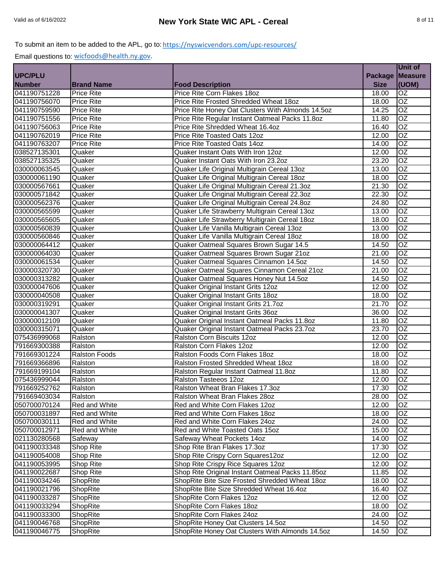|                              |                      |                                                   |                | Unit of         |
|------------------------------|----------------------|---------------------------------------------------|----------------|-----------------|
| <b>UPC/PLU</b>               |                      |                                                   | <b>Package</b> | <b>Measure</b>  |
| <b>Number</b>                | <b>Brand Name</b>    | <b>Food Description</b>                           | <b>Size</b>    | (UOM)           |
| 041190751228                 | <b>Price Rite</b>    | Price Rite Corn Flakes 18oz                       | 18.00          | <b>OZ</b>       |
| 041190756070                 | <b>Price Rite</b>    | Price Rite Frosted Shredded Wheat 18oz            | 18.00          | $\overline{OZ}$ |
| 041190759590                 | <b>Price Rite</b>    | Price Rite Honey Oat Clusters With Almonds 14.5oz | 14.25          | $\overline{OZ}$ |
| 041190751556                 | <b>Price Rite</b>    | Price Rite Regular Instant Oatmeal Packs 11.8oz   | 11.80          | $\overline{OZ}$ |
| 041190756063                 | <b>Price Rite</b>    | Price Rite Shredded Wheat 16.4oz                  | 16.40          | $\overline{OZ}$ |
| 041190762019                 | <b>Price Rite</b>    | Price Rite Toasted Oats 12oz                      | 12.00          | $\overline{OZ}$ |
| 041190763207                 | <b>Price Rite</b>    | Price Rite Toasted Oats 14oz                      | 14.00          | $\overline{OZ}$ |
| 038527135301                 | Quaker               | Quaker Instant Oats With Iron 12oz                | 12.00          | OZ              |
| 038527135325                 | Quaker               | Quaker Instant Oats With Iron 23.2oz              | 23.20          | OZ              |
| 030000063545                 | Quaker               | Quaker Life Original Multigrain Cereal 13oz       | 13.00          | $\overline{OZ}$ |
| 030000061190                 | Quaker               | Quaker Life Original Multigrain Cereal 18oz       | 18.00          | OZ              |
| 030000567661                 | Quaker               | Quaker Life Original Multigrain Cereal 21.3oz     | 21.30          | $\overline{OZ}$ |
| 030000571842                 | Quaker               | Quaker Life Original Multigrain Cereal 22.3oz     | 22.30          | OZ              |
| 030000562376                 | Quaker               | Quaker Life Original Multigrain Cereal 24.8oz     | 24.80          | $\overline{OZ}$ |
| 030000565599                 | Quaker               | Quaker Life Strawberry Multigrain Cereal 13oz     | 13.00          | $\overline{OZ}$ |
| 030000565605                 | Quaker               | Quaker Life Strawberry Multigrain Cereal 18oz     | 18.00          | OZ              |
| 030000560839                 | Quaker               | Quaker Life Vanilla Multigrain Cereal 13oz        | 13.00          | $\overline{OZ}$ |
| 030000560846                 | Quaker               | Quaker Life Vanilla Multigrain Cereal 18oz        | 18.00          | $\overline{OZ}$ |
| 030000064412                 | Quaker               | Quaker Oatmeal Squares Brown Sugar 14.5           | 14.50          | OZ              |
| 030000064030                 | Quaker               | Quaker Oatmeal Squares Brown Sugar 21oz           | 21.00          | $\overline{OZ}$ |
| 030000061534                 | Quaker               | Quaker Oatmeal Squares Cinnamon 14.5oz            | 14.50          | $\overline{OZ}$ |
| 030000320730                 | Quaker               | Quaker Oatmeal Squares Cinnamon Cereal 21oz       | 21.00          | OZ              |
| 030000313282                 | Quaker               | Quaker Oatmeal Squares Honey Nut 14.5oz           | 14.50          | OZ              |
| 030000047606                 | Quaker               | Quaker Original Instant Grits 12oz                | 12.00          | OZ              |
| 030000040508                 | Quaker               | Quaker Original Instant Grits 18oz                | 18.00          | $\overline{OZ}$ |
| 030000319291                 | Quaker               | Quaker Original Instant Grits 21.7oz              | 21.70          | $\overline{OZ}$ |
| 030000041307                 | Quaker               | Quaker Original Instant Grits 36oz                | 36.00          | $\overline{OZ}$ |
| 030000012109                 | Quaker               | Quaker Original Instant Oatmeal Packs 11.8oz      | 11.80          | $\overline{OZ}$ |
| 030000315071                 | Quaker               | Quaker Original Instant Oatmeal Packs 23.7oz      | 23.70          | $\overline{OZ}$ |
| 075436999068                 | Ralston              | Ralston Corn Biscuits 12oz                        | 12.00          | $\overline{OZ}$ |
| 791669300388                 | Ralston              | Ralston Corn Flakes 12oz                          | 12.00          | $\overline{OZ}$ |
|                              | <b>Ralston Foods</b> | Ralston Foods Corn Flakes 18oz                    | 18.00          | $\overline{OZ}$ |
| 791669301224                 | Ralston              | Ralston Frosted Shredded Wheat 18oz               |                | OZ              |
| 791669366896<br>791669199104 | Ralston              | Ralston Regular Instant Oatmeal 11.8oz            | 18.00          | $\overline{OZ}$ |
| 075436999044                 |                      |                                                   | 11.80          | OZ              |
|                              | Ralston              | Ralston Tasteeos 12oz                             | 12.00          |                 |
| 791669252762                 | Ralston              | Ralston Wheat Bran Flakes 17.3oz                  | 17.30          | OZ              |
| 791669403034                 | Ralston              | Ralston Wheat Bran Flakes 28oz                    | 28.00          | OZ              |
| 050700070124                 | Red and White        | Red and White Corn Flakes 12oz                    | 12.00          | <b>OZ</b>       |
| 050700031897                 | Red and White        | Red and White Corn Flakes 18oz                    | 18.00          | <b>OZ</b>       |
| 050700030111                 | Red and White        | Red and White Corn Flakes 24oz                    | 24.00          | OZ.             |
| 050700012971                 | Red and White        | Red and White Toasted Oats 15oz                   | 15.00          | OZ              |
| 021130280568                 | Safeway              | Safeway Wheat Pockets 14oz                        | 14.00          | OZ              |
| 041190033348                 | Shop Rite            | Shop Rite Bran Flakes 17.3oz                      | 17.30          | OZ              |
| 041190054008                 | Shop Rite            | Shop Rite Crispy Corn Squares12oz                 | 12.00          | OZ              |
| 041190053995                 | Shop Rite            | Shop Rite Crispy Rice Squares 12oz                | 12.00          | OZ              |
| 041190022687                 | Shop Rite            | Shop Rite Original Instant Oatmeal Packs 11.85oz  | 11.85          | OZ              |
| 041190034246                 | ShopRite             | ShopRite Bite Size Frosted Shredded Wheat 18oz    | 18.00          | OZ              |
| 041190021796                 | ShopRite             | ShopRite Bite Size Shredded Wheat 16.4oz          | 16.40          | OZ              |
| 041190033287                 | ShopRite             | ShopRite Corn Flakes 12oz                         | 12.00          | OZ              |
| 041190033294                 | ShopRite             | ShopRite Corn Flakes 18oz                         | 18.00          | OZ              |
| 041190033300                 | ShopRite             | ShopRite Corn Flakes 24oz                         | 24.00          | OZ.             |
| 041190046768                 | ShopRite             | ShopRite Honey Oat Clusters 14.5oz                | 14.50          | OZ              |
| 041190046775                 | ShopRite             | ShopRite Honey Oat Clusters With Almonds 14.5oz   | 14.50          | OZ              |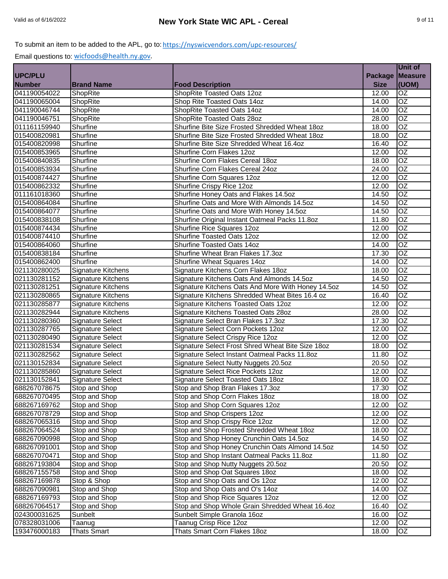|                |                           |                                                    |                 | <b>Unit of</b>  |
|----------------|---------------------------|----------------------------------------------------|-----------------|-----------------|
| <b>UPC/PLU</b> |                           |                                                    | Package Measure |                 |
| <b>Number</b>  | <b>Brand Name</b>         | <b>Food Description</b>                            | <b>Size</b>     | (UOM)           |
| 041190054022   | ShopRite                  | ShopRite Toasted Oats 12oz                         | 12.00           | <b>OZ</b>       |
| 041190065004   | ShopRite                  | Shop Rite Toasted Oats 14oz                        | 14.00           | $\overline{OZ}$ |
| 041190046744   | ShopRite                  | ShopRite Toasted Oats 14oz                         | 14.00           | OZ              |
| 041190046751   | ShopRite                  | ShopRite Toasted Oats 28oz                         | 28.00           | $\overline{OZ}$ |
| 011161159940   | Shurfine                  | Shurfine Bite Size Frosted Shredded Wheat 18oz     | 18.00           | $\overline{OZ}$ |
| 015400820981   | Shurfine                  | Shurfine Bite Size Frosted Shredded Wheat 18oz     | 18.00           | $\overline{OZ}$ |
| 015400820998   | Shurfine                  | Shurfine Bite Size Shredded Wheat 16.4oz           | 16.40           | OZ              |
| 015400853965   | Shurfine                  | Shurfine Corn Flakes 12oz                          | 12.00           | OZ              |
| 015400840835   | Shurfine                  | Shurfine Corn Flakes Cereal 18oz                   | 18.00           | OZ              |
| 015400853934   | Shurfine                  | Shurfine Corn Flakes Cereal 24oz                   | 24.00           | $\overline{OZ}$ |
| 015400874427   | Shurfine                  | Shurfine Corn Squares 12oz                         | 12.00           | OZ              |
| 015400862332   | Shurfine                  | Shurfine Crispy Rice 12oz                          | 12.00           | OZ              |
| 011161018360   | Shurfine                  | Shurfine Honey Oats and Flakes 14.5oz              | 14.50           | OZ              |
| 015400864084   | Shurfine                  | Shurfine Oats and More With Almonds 14.5oz         | 14.50           | <b>OZ</b>       |
| 015400864077   | Shurfine                  | Shurfine Oats and More With Honey 14.5oz           | 14.50           | $\overline{OZ}$ |
| 015400838108   | Shurfine                  | Shurfine Original Instant Oatmeal Packs 11.8oz     | 11.80           | $\overline{OZ}$ |
| 015400874434   | Shurfine                  | Shurfine Rice Squares 12oz                         | 12.00           | $\overline{OZ}$ |
| 015400874410   | Shurfine                  | Shurfine Toasted Oats 12oz                         | 12.00           | $\overline{OZ}$ |
| 015400864060   | Shurfine                  | Shurfine Toasted Oats 14oz                         | 14.00           | OZ              |
| 015400838184   | Shurfine                  | Shurfine Wheat Bran Flakes 17.3oz                  | 17.30           | OZ              |
| 015400862400   | Shurfine                  | Shurfine Wheat Squares 14oz                        | 14.00           | $\overline{OZ}$ |
| 021130280025   | Signature Kitchens        | Signature Kitchens Corn Flakes 18oz                | 18.00           | OZ              |
| 021130281152   | Signature Kitchens        | Signature Kitchens Oats And Almonds 14.5oz         | 14.50           | OZ              |
| 021130281251   | Signature Kitchens        | Signature Kitchens Oats And More With Honey 14.5oz | 14.50           | OZ              |
| 021130280865   | <b>Signature Kitchens</b> | Signature Kitchens Shredded Wheat Bites 16.4 oz    | 16.40           | OZ              |
| 021130285877   | <b>Signature Kitchens</b> | Signature Kitchens Toasted Oats 12oz               | 12.00           | OZ              |
| 021130282944   | Signature Kitchens        | Signature Kitchens Toasted Oats 28oz               | 28.00           | OZ              |
| 021130280360   | <b>Signature Select</b>   | Signature Select Bran Flakes 17.3oz                | 17.30           | $\overline{OZ}$ |
| 021130287765   | Signature Select          | Signature Select Corn Pockets 12oz                 | 12.00           | $\overline{OZ}$ |
| 021130280490   | Signature Select          | Signature Select Crispy Rice 12oz                  | 12.00           | $\overline{OZ}$ |
| 021130281534   | Signature Select          | Signature Select Frost Shred Wheat Bite Size 18oz  | 18.00           | $\overline{OZ}$ |
| 021130282562   | <b>Signature Select</b>   | Signature Select Instant Oatmeal Packs 11.8oz      | 11.80           | OZ              |
| 021130152834   | <b>Signature Select</b>   | Signature Select Nutty Nuggets 20.5oz              | 20.50           | OZ              |
| 021130285860   | Signature Select          | Signature Select Rice Pockets 12oz                 | 12.00           | $\overline{OZ}$ |
| 021130152841   | <b>Signature Select</b>   | Signature Select Toasted Oats 18oz                 | 18.00           | OZ              |
| 688267078675   | Stop and Shop             | Stop and Shop Bran Flakes 17.3oz                   | 17.30           | OZ              |
| 688267070495   | Stop and Shop             | Stop and Shop Corn Flakes 18oz                     | 18.00           | OZ              |
| 688267169762   | Stop and Shop             | Stop and Shop Corn Squares 12oz                    | 12.00           | <b>OZ</b>       |
| 688267078729   | Stop and Shop             | Stop and Shop Crispers 12oz                        | 12.00           | <b>OZ</b>       |
| 688267065316   | Stop and Shop             | Stop and Shop Crispy Rice 12oz                     | 12.00           | OZ.             |
| 688267064524   | Stop and Shop             | Stop and Shop Frosted Shredded Wheat 18oz          | 18.00           | OZ              |
| 688267090998   | Stop and Shop             | Stop and Shop Honey Crunchin Oats 14.5oz           | 14.50           | OZ              |
| 688267091001   | Stop and Shop             | Stop and Shop Honey Crunchin Oats Almond 14.5oz    | 14.50           | OZ              |
| 688267070471   | Stop and Shop             | Stop and Shop Instant Oatmeal Packs 11.8oz         | 11.80           | OZ              |
| 688267193804   | Stop and Shop             | Stop and Shop Nutty Nuggets 20.5oz                 | 20.50           | OZ              |
| 688267155758   | Stop and Shop             | Stop and Shop Oat Squares 18oz                     | 18.00           | OZ              |
| 688267169878   | Stop & Shop               | Stop and Shop Oats and Os 12oz                     | 12.00           | OZ              |
| 688267090981   | Stop and Shop             | Stop and Shop Oats and O's 14oz                    | 14.00           | OZ              |
| 688267169793   | Stop and Shop             | Stop and Shop Rice Squares 12oz                    | 12.00           | OZ              |
| 688267064517   | Stop and Shop             | Stop and Shop Whole Grain Shredded Wheat 16.4oz    | 16.40           | OZ              |
| 024300031625   | Sunbelt                   | Sunbelt Simple Granola 16oz                        | 16.00           | OZ              |
| 078328031006   | Taanug                    | Taanug Crisp Rice 12oz                             | 12.00           | OZ              |
| 193476000183   | <b>Thats Smart</b>        | Thats Smart Corn Flakes 18oz                       | 18.00           | OZ              |
|                |                           |                                                    |                 |                 |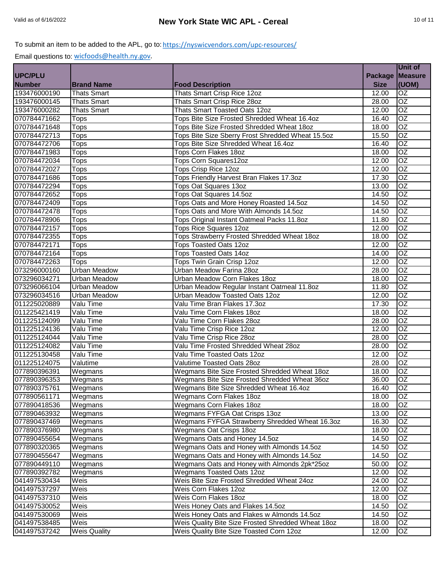| Package Measure<br><b>Number</b><br><b>Size</b><br>(UOM)<br><b>Brand Name</b><br><b>Food Description</b><br>OZ<br>Thats Smart Crisp Rice 12oz<br>12.00<br><b>Thats Smart</b><br>OZ<br><b>Thats Smart</b><br>Thats Smart Crisp Rice 28oz<br>28.00<br>OZ<br><b>Thats Smart</b><br>Thats Smart Toasted Oats 12oz<br>12.00<br>$\overline{OZ}$<br>Tops Bite Size Frosted Shredded Wheat 16.4oz<br><b>Tops</b><br>16.40<br>$\overline{OZ}$<br>Tops<br>Tops Bite Size Frosted Shredded Wheat 18oz<br>18.00<br>$\overline{OZ}$<br>Tops Bite Size Sberry Frost Shredded Wheat 15.5oz<br><b>Tops</b><br>15.50<br>OZ<br>Tops Bite Size Shredded Wheat 16.4oz<br>Tops<br>16.40<br>$\overline{OZ}$<br><b>Tops</b><br>Tops Corn Flakes 18oz<br>18.00<br>OZ<br>Tops Corn Squares12oz<br>12.00<br><b>Tops</b><br>070784472027<br>OZ<br>Tops Crisp Rice 12oz<br>12.00<br>Tops<br>070784471686<br>OZ<br>Tops Friendly Harvest Bran Flakes 17.3oz<br>17.30<br>Tops<br>070784472294<br>OZ<br>Tops Oat Squares 13oz<br>13.00<br><b>Tops</b><br>070784472652<br><b>OZ</b><br>Tops Oat Squares 14.5oz<br>14.50<br><b>Tops</b><br>070784472409<br>Tops Oats and More Honey Roasted 14.5oz<br>OZ<br><b>Tops</b><br>14.50<br>OZ<br>Tops Oats and More With Almonds 14.5oz<br><b>Tops</b><br>14.50<br>OZ<br>Tops Original Instant Oatmeal Packs 11.8oz<br>11.80<br>Tops<br><b>Tops Rice Squares 12oz</b><br>OZ<br><b>Tops</b><br>12.00<br>$\overline{OZ}$<br>Tops Strawberry Frosted Shredded Wheat 18oz<br><b>Tops</b><br>18.00<br><b>OZ</b><br>12.00<br>Tops<br><b>Tops Toasted Oats 12oz</b><br>OZ<br><b>Tops Toasted Oats 14oz</b><br><b>Tops</b><br>14.00<br>OZ<br>070784472263<br><b>Tops</b><br>Tops Twin Grain Crisp 12oz<br>12.00<br>073296000160<br><b>OZ</b><br><b>Urban Meadow</b><br>Urban Meadow Farina 28oz<br>28.00<br>073296034271<br>OZ<br><b>Urban Meadow</b><br>Urban Meadow Corn Flakes 18oz<br>18.00<br>073296066104<br><b>OZ</b><br><b>Urban Meadow</b><br>Urban Meadow Regular Instant Oatmeal 11.8oz<br>11.80<br>073296034516<br>$\overline{OZ}$<br>Urban Meadow Toasted Oats 12oz<br><b>Urban Meadow</b><br>12.00<br>011225020889<br>OZ<br>Valu Time Bran Flakes 17.3oz<br>17.30<br>Valu Time<br>011225421419<br>OZ<br>Valu Time Corn Flakes 18oz<br>Valu Time<br>18.00<br>011225124099<br>Valu Time Corn Flakes 28oz<br>OZ<br>Valu Time<br>28.00<br>011225124136<br>Valu Time Crisp Rice 12oz<br>OZ<br>Valu Time<br>12.00<br>$\overline{OZ}$<br>011225124044<br>Valu Time<br>Valu Time Crisp Rice 28oz<br>28.00<br>$\overline{OZ}$<br>011225124082<br>Valu Time Frosted Shredded Wheat 28oz<br>Valu Time<br>28.00<br>OZ<br>Valu Time<br>Valu Time Toasted Oats 12oz<br>011225130458<br>12.00<br>OZ<br>011225124075<br>Valutime<br>Valutime Toasted Oats 28oz<br>28.00<br>077890396391<br>OZ<br>Wegmans Bite Size Frosted Shredded Wheat 18oz<br>Wegmans<br>18.00<br>077890396353<br>OZ<br>Wegmans Bite Size Frosted Shredded Wheat 36oz<br>36.00<br>Wegmans<br>077890375761<br>OZ<br>Wegmans<br>Wegmans Bite Size Shredded Wheat 16.4oz<br>16.40<br><b>OZ</b><br>Wegmans Corn Flakes 18oz<br>18.00<br>Wegmans<br>OZ<br>Wegmans Corn Flakes 18oz<br>Wegmans<br>18.00<br>077890463932<br>Wegmans<br>Wegmans FYFGA Oat Crisps 13oz<br>OZ<br>13.00<br>077890437469<br>Wegmans FYFGA Strawberry Shredded Wheat 16.3oz<br>OZ<br>Wegmans<br>16.30<br>077890376980<br>Wegmans Oat Crisps 180z<br>OZ<br>Wegmans<br>18.00<br>Wegmans<br>Wegmans Oats and Honey 14.5oz<br>OZ<br>14.50<br>Wegmans Oats and Honey with Almonds 14.5oz<br>OZ<br>Wegmans<br>14.50<br>077890320365<br>OZ<br>077890455647<br>Wegmans<br>Wegmans Oats and Honey with Almonds 14.5oz<br>14.50<br>Wegmans Oats and Honey with Almonds 2pk*25oz<br>OZ<br>077890449110<br>Wegmans<br>50.00<br>OZ<br>077890392782<br>Wegmans<br>Wegmans Toasted Oats 12oz<br>12.00<br>041497530434<br>Weis<br>Weis Bite Size Frosted Shredded Wheat 24oz<br>OZ<br>24.00<br>Weis<br>OZ<br>Weis Corn Flakes 12oz<br>12.00<br>Weis<br>Weis Corn Flakes 18oz<br>OZ<br>18.00<br>041497530052<br>OZ<br>Weis<br>Weis Honey Oats and Flakes 14.5oz<br>14.50<br>041497530069<br>Weis<br>Weis Honey Oats and Flakes w Almonds 14.5oz<br>OZ<br>14.50<br>Weis<br>Weis Quality Bite Size Frosted Shredded Wheat 18oz<br>18.00<br>OZ<br>Weis Quality Bite Size Toasted Corn 12oz<br><b>Weis Quality</b><br>12.00<br>OZ |                |  | Unit of |
|---------------------------------------------------------------------------------------------------------------------------------------------------------------------------------------------------------------------------------------------------------------------------------------------------------------------------------------------------------------------------------------------------------------------------------------------------------------------------------------------------------------------------------------------------------------------------------------------------------------------------------------------------------------------------------------------------------------------------------------------------------------------------------------------------------------------------------------------------------------------------------------------------------------------------------------------------------------------------------------------------------------------------------------------------------------------------------------------------------------------------------------------------------------------------------------------------------------------------------------------------------------------------------------------------------------------------------------------------------------------------------------------------------------------------------------------------------------------------------------------------------------------------------------------------------------------------------------------------------------------------------------------------------------------------------------------------------------------------------------------------------------------------------------------------------------------------------------------------------------------------------------------------------------------------------------------------------------------------------------------------------------------------------------------------------------------------------------------------------------------------------------------------------------------------------------------------------------------------------------------------------------------------------------------------------------------------------------------------------------------------------------------------------------------------------------------------------------------------------------------------------------------------------------------------------------------------------------------------------------------------------------------------------------------------------------------------------------------------------------------------------------------------------------------------------------------------------------------------------------------------------------------------------------------------------------------------------------------------------------------------------------------------------------------------------------------------------------------------------------------------------------------------------------------------------------------------------------------------------------------------------------------------------------------------------------------------------------------------------------------------------------------------------------------------------------------------------------------------------------------------------------------------------------------------------------------------------------------------------------------------------------------------------------------------------------------------------------------------------------------------------------------------------------------------------------------------------------------------------------------------------------------------------------------------------------------------------------------------------------------------------------------------------------------------------------------------------------------------------------------------------------------------------------------------------------------------------------------------------------------------------------------------------------------------------------------------------------------------|----------------|--|---------|
|                                                                                                                                                                                                                                                                                                                                                                                                                                                                                                                                                                                                                                                                                                                                                                                                                                                                                                                                                                                                                                                                                                                                                                                                                                                                                                                                                                                                                                                                                                                                                                                                                                                                                                                                                                                                                                                                                                                                                                                                                                                                                                                                                                                                                                                                                                                                                                                                                                                                                                                                                                                                                                                                                                                                                                                                                                                                                                                                                                                                                                                                                                                                                                                                                                                                                                                                                                                                                                                                                                                                                                                                                                                                                                                                                                                                                                                                                                                                                                                                                                                                                                                                                                                                                                                                                                                                                   | <b>UPC/PLU</b> |  |         |
|                                                                                                                                                                                                                                                                                                                                                                                                                                                                                                                                                                                                                                                                                                                                                                                                                                                                                                                                                                                                                                                                                                                                                                                                                                                                                                                                                                                                                                                                                                                                                                                                                                                                                                                                                                                                                                                                                                                                                                                                                                                                                                                                                                                                                                                                                                                                                                                                                                                                                                                                                                                                                                                                                                                                                                                                                                                                                                                                                                                                                                                                                                                                                                                                                                                                                                                                                                                                                                                                                                                                                                                                                                                                                                                                                                                                                                                                                                                                                                                                                                                                                                                                                                                                                                                                                                                                                   |                |  |         |
|                                                                                                                                                                                                                                                                                                                                                                                                                                                                                                                                                                                                                                                                                                                                                                                                                                                                                                                                                                                                                                                                                                                                                                                                                                                                                                                                                                                                                                                                                                                                                                                                                                                                                                                                                                                                                                                                                                                                                                                                                                                                                                                                                                                                                                                                                                                                                                                                                                                                                                                                                                                                                                                                                                                                                                                                                                                                                                                                                                                                                                                                                                                                                                                                                                                                                                                                                                                                                                                                                                                                                                                                                                                                                                                                                                                                                                                                                                                                                                                                                                                                                                                                                                                                                                                                                                                                                   | 193476000190   |  |         |
|                                                                                                                                                                                                                                                                                                                                                                                                                                                                                                                                                                                                                                                                                                                                                                                                                                                                                                                                                                                                                                                                                                                                                                                                                                                                                                                                                                                                                                                                                                                                                                                                                                                                                                                                                                                                                                                                                                                                                                                                                                                                                                                                                                                                                                                                                                                                                                                                                                                                                                                                                                                                                                                                                                                                                                                                                                                                                                                                                                                                                                                                                                                                                                                                                                                                                                                                                                                                                                                                                                                                                                                                                                                                                                                                                                                                                                                                                                                                                                                                                                                                                                                                                                                                                                                                                                                                                   | 193476000145   |  |         |
|                                                                                                                                                                                                                                                                                                                                                                                                                                                                                                                                                                                                                                                                                                                                                                                                                                                                                                                                                                                                                                                                                                                                                                                                                                                                                                                                                                                                                                                                                                                                                                                                                                                                                                                                                                                                                                                                                                                                                                                                                                                                                                                                                                                                                                                                                                                                                                                                                                                                                                                                                                                                                                                                                                                                                                                                                                                                                                                                                                                                                                                                                                                                                                                                                                                                                                                                                                                                                                                                                                                                                                                                                                                                                                                                                                                                                                                                                                                                                                                                                                                                                                                                                                                                                                                                                                                                                   | 193476000282   |  |         |
|                                                                                                                                                                                                                                                                                                                                                                                                                                                                                                                                                                                                                                                                                                                                                                                                                                                                                                                                                                                                                                                                                                                                                                                                                                                                                                                                                                                                                                                                                                                                                                                                                                                                                                                                                                                                                                                                                                                                                                                                                                                                                                                                                                                                                                                                                                                                                                                                                                                                                                                                                                                                                                                                                                                                                                                                                                                                                                                                                                                                                                                                                                                                                                                                                                                                                                                                                                                                                                                                                                                                                                                                                                                                                                                                                                                                                                                                                                                                                                                                                                                                                                                                                                                                                                                                                                                                                   | 070784471662   |  |         |
|                                                                                                                                                                                                                                                                                                                                                                                                                                                                                                                                                                                                                                                                                                                                                                                                                                                                                                                                                                                                                                                                                                                                                                                                                                                                                                                                                                                                                                                                                                                                                                                                                                                                                                                                                                                                                                                                                                                                                                                                                                                                                                                                                                                                                                                                                                                                                                                                                                                                                                                                                                                                                                                                                                                                                                                                                                                                                                                                                                                                                                                                                                                                                                                                                                                                                                                                                                                                                                                                                                                                                                                                                                                                                                                                                                                                                                                                                                                                                                                                                                                                                                                                                                                                                                                                                                                                                   | 070784471648   |  |         |
|                                                                                                                                                                                                                                                                                                                                                                                                                                                                                                                                                                                                                                                                                                                                                                                                                                                                                                                                                                                                                                                                                                                                                                                                                                                                                                                                                                                                                                                                                                                                                                                                                                                                                                                                                                                                                                                                                                                                                                                                                                                                                                                                                                                                                                                                                                                                                                                                                                                                                                                                                                                                                                                                                                                                                                                                                                                                                                                                                                                                                                                                                                                                                                                                                                                                                                                                                                                                                                                                                                                                                                                                                                                                                                                                                                                                                                                                                                                                                                                                                                                                                                                                                                                                                                                                                                                                                   | 070784472713   |  |         |
|                                                                                                                                                                                                                                                                                                                                                                                                                                                                                                                                                                                                                                                                                                                                                                                                                                                                                                                                                                                                                                                                                                                                                                                                                                                                                                                                                                                                                                                                                                                                                                                                                                                                                                                                                                                                                                                                                                                                                                                                                                                                                                                                                                                                                                                                                                                                                                                                                                                                                                                                                                                                                                                                                                                                                                                                                                                                                                                                                                                                                                                                                                                                                                                                                                                                                                                                                                                                                                                                                                                                                                                                                                                                                                                                                                                                                                                                                                                                                                                                                                                                                                                                                                                                                                                                                                                                                   | 070784472706   |  |         |
|                                                                                                                                                                                                                                                                                                                                                                                                                                                                                                                                                                                                                                                                                                                                                                                                                                                                                                                                                                                                                                                                                                                                                                                                                                                                                                                                                                                                                                                                                                                                                                                                                                                                                                                                                                                                                                                                                                                                                                                                                                                                                                                                                                                                                                                                                                                                                                                                                                                                                                                                                                                                                                                                                                                                                                                                                                                                                                                                                                                                                                                                                                                                                                                                                                                                                                                                                                                                                                                                                                                                                                                                                                                                                                                                                                                                                                                                                                                                                                                                                                                                                                                                                                                                                                                                                                                                                   | 070784471983   |  |         |
|                                                                                                                                                                                                                                                                                                                                                                                                                                                                                                                                                                                                                                                                                                                                                                                                                                                                                                                                                                                                                                                                                                                                                                                                                                                                                                                                                                                                                                                                                                                                                                                                                                                                                                                                                                                                                                                                                                                                                                                                                                                                                                                                                                                                                                                                                                                                                                                                                                                                                                                                                                                                                                                                                                                                                                                                                                                                                                                                                                                                                                                                                                                                                                                                                                                                                                                                                                                                                                                                                                                                                                                                                                                                                                                                                                                                                                                                                                                                                                                                                                                                                                                                                                                                                                                                                                                                                   | 070784472034   |  |         |
|                                                                                                                                                                                                                                                                                                                                                                                                                                                                                                                                                                                                                                                                                                                                                                                                                                                                                                                                                                                                                                                                                                                                                                                                                                                                                                                                                                                                                                                                                                                                                                                                                                                                                                                                                                                                                                                                                                                                                                                                                                                                                                                                                                                                                                                                                                                                                                                                                                                                                                                                                                                                                                                                                                                                                                                                                                                                                                                                                                                                                                                                                                                                                                                                                                                                                                                                                                                                                                                                                                                                                                                                                                                                                                                                                                                                                                                                                                                                                                                                                                                                                                                                                                                                                                                                                                                                                   |                |  |         |
|                                                                                                                                                                                                                                                                                                                                                                                                                                                                                                                                                                                                                                                                                                                                                                                                                                                                                                                                                                                                                                                                                                                                                                                                                                                                                                                                                                                                                                                                                                                                                                                                                                                                                                                                                                                                                                                                                                                                                                                                                                                                                                                                                                                                                                                                                                                                                                                                                                                                                                                                                                                                                                                                                                                                                                                                                                                                                                                                                                                                                                                                                                                                                                                                                                                                                                                                                                                                                                                                                                                                                                                                                                                                                                                                                                                                                                                                                                                                                                                                                                                                                                                                                                                                                                                                                                                                                   |                |  |         |
|                                                                                                                                                                                                                                                                                                                                                                                                                                                                                                                                                                                                                                                                                                                                                                                                                                                                                                                                                                                                                                                                                                                                                                                                                                                                                                                                                                                                                                                                                                                                                                                                                                                                                                                                                                                                                                                                                                                                                                                                                                                                                                                                                                                                                                                                                                                                                                                                                                                                                                                                                                                                                                                                                                                                                                                                                                                                                                                                                                                                                                                                                                                                                                                                                                                                                                                                                                                                                                                                                                                                                                                                                                                                                                                                                                                                                                                                                                                                                                                                                                                                                                                                                                                                                                                                                                                                                   |                |  |         |
|                                                                                                                                                                                                                                                                                                                                                                                                                                                                                                                                                                                                                                                                                                                                                                                                                                                                                                                                                                                                                                                                                                                                                                                                                                                                                                                                                                                                                                                                                                                                                                                                                                                                                                                                                                                                                                                                                                                                                                                                                                                                                                                                                                                                                                                                                                                                                                                                                                                                                                                                                                                                                                                                                                                                                                                                                                                                                                                                                                                                                                                                                                                                                                                                                                                                                                                                                                                                                                                                                                                                                                                                                                                                                                                                                                                                                                                                                                                                                                                                                                                                                                                                                                                                                                                                                                                                                   |                |  |         |
|                                                                                                                                                                                                                                                                                                                                                                                                                                                                                                                                                                                                                                                                                                                                                                                                                                                                                                                                                                                                                                                                                                                                                                                                                                                                                                                                                                                                                                                                                                                                                                                                                                                                                                                                                                                                                                                                                                                                                                                                                                                                                                                                                                                                                                                                                                                                                                                                                                                                                                                                                                                                                                                                                                                                                                                                                                                                                                                                                                                                                                                                                                                                                                                                                                                                                                                                                                                                                                                                                                                                                                                                                                                                                                                                                                                                                                                                                                                                                                                                                                                                                                                                                                                                                                                                                                                                                   |                |  |         |
|                                                                                                                                                                                                                                                                                                                                                                                                                                                                                                                                                                                                                                                                                                                                                                                                                                                                                                                                                                                                                                                                                                                                                                                                                                                                                                                                                                                                                                                                                                                                                                                                                                                                                                                                                                                                                                                                                                                                                                                                                                                                                                                                                                                                                                                                                                                                                                                                                                                                                                                                                                                                                                                                                                                                                                                                                                                                                                                                                                                                                                                                                                                                                                                                                                                                                                                                                                                                                                                                                                                                                                                                                                                                                                                                                                                                                                                                                                                                                                                                                                                                                                                                                                                                                                                                                                                                                   | 070784472478   |  |         |
|                                                                                                                                                                                                                                                                                                                                                                                                                                                                                                                                                                                                                                                                                                                                                                                                                                                                                                                                                                                                                                                                                                                                                                                                                                                                                                                                                                                                                                                                                                                                                                                                                                                                                                                                                                                                                                                                                                                                                                                                                                                                                                                                                                                                                                                                                                                                                                                                                                                                                                                                                                                                                                                                                                                                                                                                                                                                                                                                                                                                                                                                                                                                                                                                                                                                                                                                                                                                                                                                                                                                                                                                                                                                                                                                                                                                                                                                                                                                                                                                                                                                                                                                                                                                                                                                                                                                                   | 070784478906   |  |         |
|                                                                                                                                                                                                                                                                                                                                                                                                                                                                                                                                                                                                                                                                                                                                                                                                                                                                                                                                                                                                                                                                                                                                                                                                                                                                                                                                                                                                                                                                                                                                                                                                                                                                                                                                                                                                                                                                                                                                                                                                                                                                                                                                                                                                                                                                                                                                                                                                                                                                                                                                                                                                                                                                                                                                                                                                                                                                                                                                                                                                                                                                                                                                                                                                                                                                                                                                                                                                                                                                                                                                                                                                                                                                                                                                                                                                                                                                                                                                                                                                                                                                                                                                                                                                                                                                                                                                                   | 070784472157   |  |         |
|                                                                                                                                                                                                                                                                                                                                                                                                                                                                                                                                                                                                                                                                                                                                                                                                                                                                                                                                                                                                                                                                                                                                                                                                                                                                                                                                                                                                                                                                                                                                                                                                                                                                                                                                                                                                                                                                                                                                                                                                                                                                                                                                                                                                                                                                                                                                                                                                                                                                                                                                                                                                                                                                                                                                                                                                                                                                                                                                                                                                                                                                                                                                                                                                                                                                                                                                                                                                                                                                                                                                                                                                                                                                                                                                                                                                                                                                                                                                                                                                                                                                                                                                                                                                                                                                                                                                                   | 070784472355   |  |         |
|                                                                                                                                                                                                                                                                                                                                                                                                                                                                                                                                                                                                                                                                                                                                                                                                                                                                                                                                                                                                                                                                                                                                                                                                                                                                                                                                                                                                                                                                                                                                                                                                                                                                                                                                                                                                                                                                                                                                                                                                                                                                                                                                                                                                                                                                                                                                                                                                                                                                                                                                                                                                                                                                                                                                                                                                                                                                                                                                                                                                                                                                                                                                                                                                                                                                                                                                                                                                                                                                                                                                                                                                                                                                                                                                                                                                                                                                                                                                                                                                                                                                                                                                                                                                                                                                                                                                                   | 070784472171   |  |         |
|                                                                                                                                                                                                                                                                                                                                                                                                                                                                                                                                                                                                                                                                                                                                                                                                                                                                                                                                                                                                                                                                                                                                                                                                                                                                                                                                                                                                                                                                                                                                                                                                                                                                                                                                                                                                                                                                                                                                                                                                                                                                                                                                                                                                                                                                                                                                                                                                                                                                                                                                                                                                                                                                                                                                                                                                                                                                                                                                                                                                                                                                                                                                                                                                                                                                                                                                                                                                                                                                                                                                                                                                                                                                                                                                                                                                                                                                                                                                                                                                                                                                                                                                                                                                                                                                                                                                                   | 070784472164   |  |         |
|                                                                                                                                                                                                                                                                                                                                                                                                                                                                                                                                                                                                                                                                                                                                                                                                                                                                                                                                                                                                                                                                                                                                                                                                                                                                                                                                                                                                                                                                                                                                                                                                                                                                                                                                                                                                                                                                                                                                                                                                                                                                                                                                                                                                                                                                                                                                                                                                                                                                                                                                                                                                                                                                                                                                                                                                                                                                                                                                                                                                                                                                                                                                                                                                                                                                                                                                                                                                                                                                                                                                                                                                                                                                                                                                                                                                                                                                                                                                                                                                                                                                                                                                                                                                                                                                                                                                                   |                |  |         |
|                                                                                                                                                                                                                                                                                                                                                                                                                                                                                                                                                                                                                                                                                                                                                                                                                                                                                                                                                                                                                                                                                                                                                                                                                                                                                                                                                                                                                                                                                                                                                                                                                                                                                                                                                                                                                                                                                                                                                                                                                                                                                                                                                                                                                                                                                                                                                                                                                                                                                                                                                                                                                                                                                                                                                                                                                                                                                                                                                                                                                                                                                                                                                                                                                                                                                                                                                                                                                                                                                                                                                                                                                                                                                                                                                                                                                                                                                                                                                                                                                                                                                                                                                                                                                                                                                                                                                   |                |  |         |
|                                                                                                                                                                                                                                                                                                                                                                                                                                                                                                                                                                                                                                                                                                                                                                                                                                                                                                                                                                                                                                                                                                                                                                                                                                                                                                                                                                                                                                                                                                                                                                                                                                                                                                                                                                                                                                                                                                                                                                                                                                                                                                                                                                                                                                                                                                                                                                                                                                                                                                                                                                                                                                                                                                                                                                                                                                                                                                                                                                                                                                                                                                                                                                                                                                                                                                                                                                                                                                                                                                                                                                                                                                                                                                                                                                                                                                                                                                                                                                                                                                                                                                                                                                                                                                                                                                                                                   |                |  |         |
|                                                                                                                                                                                                                                                                                                                                                                                                                                                                                                                                                                                                                                                                                                                                                                                                                                                                                                                                                                                                                                                                                                                                                                                                                                                                                                                                                                                                                                                                                                                                                                                                                                                                                                                                                                                                                                                                                                                                                                                                                                                                                                                                                                                                                                                                                                                                                                                                                                                                                                                                                                                                                                                                                                                                                                                                                                                                                                                                                                                                                                                                                                                                                                                                                                                                                                                                                                                                                                                                                                                                                                                                                                                                                                                                                                                                                                                                                                                                                                                                                                                                                                                                                                                                                                                                                                                                                   |                |  |         |
|                                                                                                                                                                                                                                                                                                                                                                                                                                                                                                                                                                                                                                                                                                                                                                                                                                                                                                                                                                                                                                                                                                                                                                                                                                                                                                                                                                                                                                                                                                                                                                                                                                                                                                                                                                                                                                                                                                                                                                                                                                                                                                                                                                                                                                                                                                                                                                                                                                                                                                                                                                                                                                                                                                                                                                                                                                                                                                                                                                                                                                                                                                                                                                                                                                                                                                                                                                                                                                                                                                                                                                                                                                                                                                                                                                                                                                                                                                                                                                                                                                                                                                                                                                                                                                                                                                                                                   |                |  |         |
|                                                                                                                                                                                                                                                                                                                                                                                                                                                                                                                                                                                                                                                                                                                                                                                                                                                                                                                                                                                                                                                                                                                                                                                                                                                                                                                                                                                                                                                                                                                                                                                                                                                                                                                                                                                                                                                                                                                                                                                                                                                                                                                                                                                                                                                                                                                                                                                                                                                                                                                                                                                                                                                                                                                                                                                                                                                                                                                                                                                                                                                                                                                                                                                                                                                                                                                                                                                                                                                                                                                                                                                                                                                                                                                                                                                                                                                                                                                                                                                                                                                                                                                                                                                                                                                                                                                                                   |                |  |         |
|                                                                                                                                                                                                                                                                                                                                                                                                                                                                                                                                                                                                                                                                                                                                                                                                                                                                                                                                                                                                                                                                                                                                                                                                                                                                                                                                                                                                                                                                                                                                                                                                                                                                                                                                                                                                                                                                                                                                                                                                                                                                                                                                                                                                                                                                                                                                                                                                                                                                                                                                                                                                                                                                                                                                                                                                                                                                                                                                                                                                                                                                                                                                                                                                                                                                                                                                                                                                                                                                                                                                                                                                                                                                                                                                                                                                                                                                                                                                                                                                                                                                                                                                                                                                                                                                                                                                                   |                |  |         |
|                                                                                                                                                                                                                                                                                                                                                                                                                                                                                                                                                                                                                                                                                                                                                                                                                                                                                                                                                                                                                                                                                                                                                                                                                                                                                                                                                                                                                                                                                                                                                                                                                                                                                                                                                                                                                                                                                                                                                                                                                                                                                                                                                                                                                                                                                                                                                                                                                                                                                                                                                                                                                                                                                                                                                                                                                                                                                                                                                                                                                                                                                                                                                                                                                                                                                                                                                                                                                                                                                                                                                                                                                                                                                                                                                                                                                                                                                                                                                                                                                                                                                                                                                                                                                                                                                                                                                   |                |  |         |
|                                                                                                                                                                                                                                                                                                                                                                                                                                                                                                                                                                                                                                                                                                                                                                                                                                                                                                                                                                                                                                                                                                                                                                                                                                                                                                                                                                                                                                                                                                                                                                                                                                                                                                                                                                                                                                                                                                                                                                                                                                                                                                                                                                                                                                                                                                                                                                                                                                                                                                                                                                                                                                                                                                                                                                                                                                                                                                                                                                                                                                                                                                                                                                                                                                                                                                                                                                                                                                                                                                                                                                                                                                                                                                                                                                                                                                                                                                                                                                                                                                                                                                                                                                                                                                                                                                                                                   |                |  |         |
|                                                                                                                                                                                                                                                                                                                                                                                                                                                                                                                                                                                                                                                                                                                                                                                                                                                                                                                                                                                                                                                                                                                                                                                                                                                                                                                                                                                                                                                                                                                                                                                                                                                                                                                                                                                                                                                                                                                                                                                                                                                                                                                                                                                                                                                                                                                                                                                                                                                                                                                                                                                                                                                                                                                                                                                                                                                                                                                                                                                                                                                                                                                                                                                                                                                                                                                                                                                                                                                                                                                                                                                                                                                                                                                                                                                                                                                                                                                                                                                                                                                                                                                                                                                                                                                                                                                                                   |                |  |         |
|                                                                                                                                                                                                                                                                                                                                                                                                                                                                                                                                                                                                                                                                                                                                                                                                                                                                                                                                                                                                                                                                                                                                                                                                                                                                                                                                                                                                                                                                                                                                                                                                                                                                                                                                                                                                                                                                                                                                                                                                                                                                                                                                                                                                                                                                                                                                                                                                                                                                                                                                                                                                                                                                                                                                                                                                                                                                                                                                                                                                                                                                                                                                                                                                                                                                                                                                                                                                                                                                                                                                                                                                                                                                                                                                                                                                                                                                                                                                                                                                                                                                                                                                                                                                                                                                                                                                                   |                |  |         |
|                                                                                                                                                                                                                                                                                                                                                                                                                                                                                                                                                                                                                                                                                                                                                                                                                                                                                                                                                                                                                                                                                                                                                                                                                                                                                                                                                                                                                                                                                                                                                                                                                                                                                                                                                                                                                                                                                                                                                                                                                                                                                                                                                                                                                                                                                                                                                                                                                                                                                                                                                                                                                                                                                                                                                                                                                                                                                                                                                                                                                                                                                                                                                                                                                                                                                                                                                                                                                                                                                                                                                                                                                                                                                                                                                                                                                                                                                                                                                                                                                                                                                                                                                                                                                                                                                                                                                   |                |  |         |
|                                                                                                                                                                                                                                                                                                                                                                                                                                                                                                                                                                                                                                                                                                                                                                                                                                                                                                                                                                                                                                                                                                                                                                                                                                                                                                                                                                                                                                                                                                                                                                                                                                                                                                                                                                                                                                                                                                                                                                                                                                                                                                                                                                                                                                                                                                                                                                                                                                                                                                                                                                                                                                                                                                                                                                                                                                                                                                                                                                                                                                                                                                                                                                                                                                                                                                                                                                                                                                                                                                                                                                                                                                                                                                                                                                                                                                                                                                                                                                                                                                                                                                                                                                                                                                                                                                                                                   |                |  |         |
|                                                                                                                                                                                                                                                                                                                                                                                                                                                                                                                                                                                                                                                                                                                                                                                                                                                                                                                                                                                                                                                                                                                                                                                                                                                                                                                                                                                                                                                                                                                                                                                                                                                                                                                                                                                                                                                                                                                                                                                                                                                                                                                                                                                                                                                                                                                                                                                                                                                                                                                                                                                                                                                                                                                                                                                                                                                                                                                                                                                                                                                                                                                                                                                                                                                                                                                                                                                                                                                                                                                                                                                                                                                                                                                                                                                                                                                                                                                                                                                                                                                                                                                                                                                                                                                                                                                                                   |                |  |         |
|                                                                                                                                                                                                                                                                                                                                                                                                                                                                                                                                                                                                                                                                                                                                                                                                                                                                                                                                                                                                                                                                                                                                                                                                                                                                                                                                                                                                                                                                                                                                                                                                                                                                                                                                                                                                                                                                                                                                                                                                                                                                                                                                                                                                                                                                                                                                                                                                                                                                                                                                                                                                                                                                                                                                                                                                                                                                                                                                                                                                                                                                                                                                                                                                                                                                                                                                                                                                                                                                                                                                                                                                                                                                                                                                                                                                                                                                                                                                                                                                                                                                                                                                                                                                                                                                                                                                                   |                |  |         |
|                                                                                                                                                                                                                                                                                                                                                                                                                                                                                                                                                                                                                                                                                                                                                                                                                                                                                                                                                                                                                                                                                                                                                                                                                                                                                                                                                                                                                                                                                                                                                                                                                                                                                                                                                                                                                                                                                                                                                                                                                                                                                                                                                                                                                                                                                                                                                                                                                                                                                                                                                                                                                                                                                                                                                                                                                                                                                                                                                                                                                                                                                                                                                                                                                                                                                                                                                                                                                                                                                                                                                                                                                                                                                                                                                                                                                                                                                                                                                                                                                                                                                                                                                                                                                                                                                                                                                   |                |  |         |
|                                                                                                                                                                                                                                                                                                                                                                                                                                                                                                                                                                                                                                                                                                                                                                                                                                                                                                                                                                                                                                                                                                                                                                                                                                                                                                                                                                                                                                                                                                                                                                                                                                                                                                                                                                                                                                                                                                                                                                                                                                                                                                                                                                                                                                                                                                                                                                                                                                                                                                                                                                                                                                                                                                                                                                                                                                                                                                                                                                                                                                                                                                                                                                                                                                                                                                                                                                                                                                                                                                                                                                                                                                                                                                                                                                                                                                                                                                                                                                                                                                                                                                                                                                                                                                                                                                                                                   | 077890561171   |  |         |
|                                                                                                                                                                                                                                                                                                                                                                                                                                                                                                                                                                                                                                                                                                                                                                                                                                                                                                                                                                                                                                                                                                                                                                                                                                                                                                                                                                                                                                                                                                                                                                                                                                                                                                                                                                                                                                                                                                                                                                                                                                                                                                                                                                                                                                                                                                                                                                                                                                                                                                                                                                                                                                                                                                                                                                                                                                                                                                                                                                                                                                                                                                                                                                                                                                                                                                                                                                                                                                                                                                                                                                                                                                                                                                                                                                                                                                                                                                                                                                                                                                                                                                                                                                                                                                                                                                                                                   | 077890418536   |  |         |
|                                                                                                                                                                                                                                                                                                                                                                                                                                                                                                                                                                                                                                                                                                                                                                                                                                                                                                                                                                                                                                                                                                                                                                                                                                                                                                                                                                                                                                                                                                                                                                                                                                                                                                                                                                                                                                                                                                                                                                                                                                                                                                                                                                                                                                                                                                                                                                                                                                                                                                                                                                                                                                                                                                                                                                                                                                                                                                                                                                                                                                                                                                                                                                                                                                                                                                                                                                                                                                                                                                                                                                                                                                                                                                                                                                                                                                                                                                                                                                                                                                                                                                                                                                                                                                                                                                                                                   |                |  |         |
|                                                                                                                                                                                                                                                                                                                                                                                                                                                                                                                                                                                                                                                                                                                                                                                                                                                                                                                                                                                                                                                                                                                                                                                                                                                                                                                                                                                                                                                                                                                                                                                                                                                                                                                                                                                                                                                                                                                                                                                                                                                                                                                                                                                                                                                                                                                                                                                                                                                                                                                                                                                                                                                                                                                                                                                                                                                                                                                                                                                                                                                                                                                                                                                                                                                                                                                                                                                                                                                                                                                                                                                                                                                                                                                                                                                                                                                                                                                                                                                                                                                                                                                                                                                                                                                                                                                                                   |                |  |         |
|                                                                                                                                                                                                                                                                                                                                                                                                                                                                                                                                                                                                                                                                                                                                                                                                                                                                                                                                                                                                                                                                                                                                                                                                                                                                                                                                                                                                                                                                                                                                                                                                                                                                                                                                                                                                                                                                                                                                                                                                                                                                                                                                                                                                                                                                                                                                                                                                                                                                                                                                                                                                                                                                                                                                                                                                                                                                                                                                                                                                                                                                                                                                                                                                                                                                                                                                                                                                                                                                                                                                                                                                                                                                                                                                                                                                                                                                                                                                                                                                                                                                                                                                                                                                                                                                                                                                                   |                |  |         |
|                                                                                                                                                                                                                                                                                                                                                                                                                                                                                                                                                                                                                                                                                                                                                                                                                                                                                                                                                                                                                                                                                                                                                                                                                                                                                                                                                                                                                                                                                                                                                                                                                                                                                                                                                                                                                                                                                                                                                                                                                                                                                                                                                                                                                                                                                                                                                                                                                                                                                                                                                                                                                                                                                                                                                                                                                                                                                                                                                                                                                                                                                                                                                                                                                                                                                                                                                                                                                                                                                                                                                                                                                                                                                                                                                                                                                                                                                                                                                                                                                                                                                                                                                                                                                                                                                                                                                   | 077890455654   |  |         |
|                                                                                                                                                                                                                                                                                                                                                                                                                                                                                                                                                                                                                                                                                                                                                                                                                                                                                                                                                                                                                                                                                                                                                                                                                                                                                                                                                                                                                                                                                                                                                                                                                                                                                                                                                                                                                                                                                                                                                                                                                                                                                                                                                                                                                                                                                                                                                                                                                                                                                                                                                                                                                                                                                                                                                                                                                                                                                                                                                                                                                                                                                                                                                                                                                                                                                                                                                                                                                                                                                                                                                                                                                                                                                                                                                                                                                                                                                                                                                                                                                                                                                                                                                                                                                                                                                                                                                   |                |  |         |
|                                                                                                                                                                                                                                                                                                                                                                                                                                                                                                                                                                                                                                                                                                                                                                                                                                                                                                                                                                                                                                                                                                                                                                                                                                                                                                                                                                                                                                                                                                                                                                                                                                                                                                                                                                                                                                                                                                                                                                                                                                                                                                                                                                                                                                                                                                                                                                                                                                                                                                                                                                                                                                                                                                                                                                                                                                                                                                                                                                                                                                                                                                                                                                                                                                                                                                                                                                                                                                                                                                                                                                                                                                                                                                                                                                                                                                                                                                                                                                                                                                                                                                                                                                                                                                                                                                                                                   |                |  |         |
|                                                                                                                                                                                                                                                                                                                                                                                                                                                                                                                                                                                                                                                                                                                                                                                                                                                                                                                                                                                                                                                                                                                                                                                                                                                                                                                                                                                                                                                                                                                                                                                                                                                                                                                                                                                                                                                                                                                                                                                                                                                                                                                                                                                                                                                                                                                                                                                                                                                                                                                                                                                                                                                                                                                                                                                                                                                                                                                                                                                                                                                                                                                                                                                                                                                                                                                                                                                                                                                                                                                                                                                                                                                                                                                                                                                                                                                                                                                                                                                                                                                                                                                                                                                                                                                                                                                                                   |                |  |         |
|                                                                                                                                                                                                                                                                                                                                                                                                                                                                                                                                                                                                                                                                                                                                                                                                                                                                                                                                                                                                                                                                                                                                                                                                                                                                                                                                                                                                                                                                                                                                                                                                                                                                                                                                                                                                                                                                                                                                                                                                                                                                                                                                                                                                                                                                                                                                                                                                                                                                                                                                                                                                                                                                                                                                                                                                                                                                                                                                                                                                                                                                                                                                                                                                                                                                                                                                                                                                                                                                                                                                                                                                                                                                                                                                                                                                                                                                                                                                                                                                                                                                                                                                                                                                                                                                                                                                                   |                |  |         |
|                                                                                                                                                                                                                                                                                                                                                                                                                                                                                                                                                                                                                                                                                                                                                                                                                                                                                                                                                                                                                                                                                                                                                                                                                                                                                                                                                                                                                                                                                                                                                                                                                                                                                                                                                                                                                                                                                                                                                                                                                                                                                                                                                                                                                                                                                                                                                                                                                                                                                                                                                                                                                                                                                                                                                                                                                                                                                                                                                                                                                                                                                                                                                                                                                                                                                                                                                                                                                                                                                                                                                                                                                                                                                                                                                                                                                                                                                                                                                                                                                                                                                                                                                                                                                                                                                                                                                   |                |  |         |
|                                                                                                                                                                                                                                                                                                                                                                                                                                                                                                                                                                                                                                                                                                                                                                                                                                                                                                                                                                                                                                                                                                                                                                                                                                                                                                                                                                                                                                                                                                                                                                                                                                                                                                                                                                                                                                                                                                                                                                                                                                                                                                                                                                                                                                                                                                                                                                                                                                                                                                                                                                                                                                                                                                                                                                                                                                                                                                                                                                                                                                                                                                                                                                                                                                                                                                                                                                                                                                                                                                                                                                                                                                                                                                                                                                                                                                                                                                                                                                                                                                                                                                                                                                                                                                                                                                                                                   | 041497537297   |  |         |
|                                                                                                                                                                                                                                                                                                                                                                                                                                                                                                                                                                                                                                                                                                                                                                                                                                                                                                                                                                                                                                                                                                                                                                                                                                                                                                                                                                                                                                                                                                                                                                                                                                                                                                                                                                                                                                                                                                                                                                                                                                                                                                                                                                                                                                                                                                                                                                                                                                                                                                                                                                                                                                                                                                                                                                                                                                                                                                                                                                                                                                                                                                                                                                                                                                                                                                                                                                                                                                                                                                                                                                                                                                                                                                                                                                                                                                                                                                                                                                                                                                                                                                                                                                                                                                                                                                                                                   | 041497537310   |  |         |
|                                                                                                                                                                                                                                                                                                                                                                                                                                                                                                                                                                                                                                                                                                                                                                                                                                                                                                                                                                                                                                                                                                                                                                                                                                                                                                                                                                                                                                                                                                                                                                                                                                                                                                                                                                                                                                                                                                                                                                                                                                                                                                                                                                                                                                                                                                                                                                                                                                                                                                                                                                                                                                                                                                                                                                                                                                                                                                                                                                                                                                                                                                                                                                                                                                                                                                                                                                                                                                                                                                                                                                                                                                                                                                                                                                                                                                                                                                                                                                                                                                                                                                                                                                                                                                                                                                                                                   |                |  |         |
|                                                                                                                                                                                                                                                                                                                                                                                                                                                                                                                                                                                                                                                                                                                                                                                                                                                                                                                                                                                                                                                                                                                                                                                                                                                                                                                                                                                                                                                                                                                                                                                                                                                                                                                                                                                                                                                                                                                                                                                                                                                                                                                                                                                                                                                                                                                                                                                                                                                                                                                                                                                                                                                                                                                                                                                                                                                                                                                                                                                                                                                                                                                                                                                                                                                                                                                                                                                                                                                                                                                                                                                                                                                                                                                                                                                                                                                                                                                                                                                                                                                                                                                                                                                                                                                                                                                                                   |                |  |         |
|                                                                                                                                                                                                                                                                                                                                                                                                                                                                                                                                                                                                                                                                                                                                                                                                                                                                                                                                                                                                                                                                                                                                                                                                                                                                                                                                                                                                                                                                                                                                                                                                                                                                                                                                                                                                                                                                                                                                                                                                                                                                                                                                                                                                                                                                                                                                                                                                                                                                                                                                                                                                                                                                                                                                                                                                                                                                                                                                                                                                                                                                                                                                                                                                                                                                                                                                                                                                                                                                                                                                                                                                                                                                                                                                                                                                                                                                                                                                                                                                                                                                                                                                                                                                                                                                                                                                                   | 041497538485   |  |         |
|                                                                                                                                                                                                                                                                                                                                                                                                                                                                                                                                                                                                                                                                                                                                                                                                                                                                                                                                                                                                                                                                                                                                                                                                                                                                                                                                                                                                                                                                                                                                                                                                                                                                                                                                                                                                                                                                                                                                                                                                                                                                                                                                                                                                                                                                                                                                                                                                                                                                                                                                                                                                                                                                                                                                                                                                                                                                                                                                                                                                                                                                                                                                                                                                                                                                                                                                                                                                                                                                                                                                                                                                                                                                                                                                                                                                                                                                                                                                                                                                                                                                                                                                                                                                                                                                                                                                                   | 041497537242   |  |         |